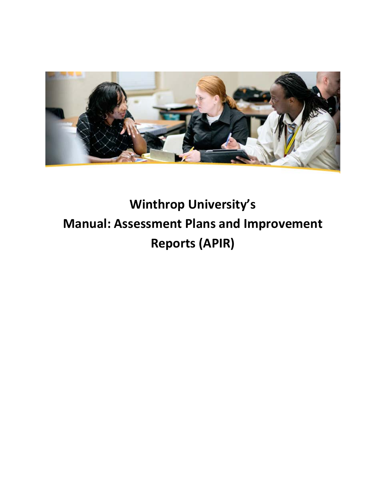

# **Winthrop University's Manual: Assessment Plans and Improvement Reports (APIR)**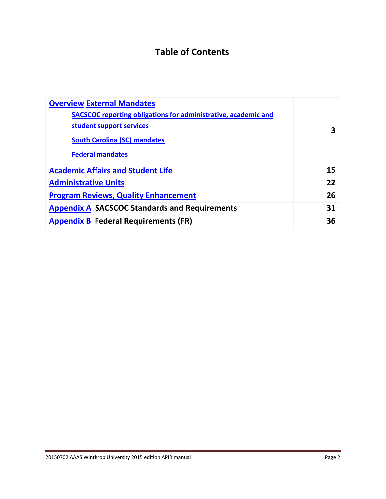# **Table of Contents**

| <b>Overview External Mandates</b>                                     |    |
|-----------------------------------------------------------------------|----|
| <b>SACSCOC</b> reporting obligations for administrative, academic and |    |
| student support services                                              | 3  |
| <b>South Carolina (SC) mandates</b>                                   |    |
| <b>Federal mandates</b>                                               |    |
| <b>Academic Affairs and Student Life</b>                              | 15 |
| <b>Administrative Units</b>                                           | 22 |
| <b>Program Reviews, Quality Enhancement</b>                           | 26 |
| <b>Appendix A SACSCOC Standards and Requirements</b>                  | 31 |
| <b>Appendix B Federal Requirements (FR)</b>                           | 36 |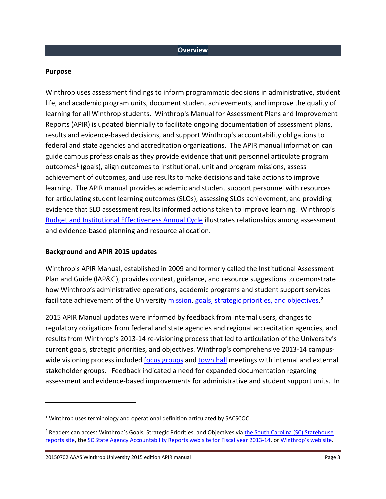#### <span id="page-2-0"></span>**Purpose**

 $\overline{a}$ 

Winthrop uses assessment findings to inform programmatic decisions in administrative, student life, and academic program units, document student achievements, and improve the quality of learning for all Winthrop students. Winthrop's Manual for Assessment Plans and Improvement Reports (APIR) is updated biennially to facilitate ongoing documentation of assessment plans, results and evidence-based decisions, and support Winthrop's accountability obligations to federal and state agencies and accreditation organizations. The APIR manual information can guide campus professionals as they provide evidence that unit personnel articulate program outcomes[1](#page-2-1) (goals), align outcomes to institutional, unit and program missions, assess achievement of outcomes, and use results to make decisions and take actions to improve learning. The APIR manual provides academic and student support personnel with resources for articulating student learning outcomes (SLOs), assessing SLOs achievement, and providing evidence that SLO assessment results informed actions taken to improve learning. Winthrop's [Budget and Institutional Effectiveness Annual Cycle](http://www.winthrop.edu/uploadedFiles/WU_IE_AnnualReportCycle.pdf) illustrates relationships among assessment and evidence-based planning and resource allocation.

#### **Background and APIR 2015 updates**

Winthrop's APIR Manual, established in 2009 and formerly called the Institutional Assessment Plan and Guide (IAP&G), provides context, guidance, and resource suggestions to demonstrate how Winthrop's administrative operations, academic programs and student support services facilitate achievement of the Universit[y mission,](http://www.winthrop.edu/president/secondary.aspx?id=30193) [goals, strategic priorities, and objectives.](http://www.winthrop.edu/uploadedFiles/FY2013-14alltemplates.pdf)<sup>[2](#page-2-2)</sup>

2015 APIR Manual updates were informed by feedback from internal users, changes to regulatory obligations from federal and state agencies and regional accreditation agencies, and results from Winthrop's 2013-14 re-visioning process that led to articulation of the University's current goals, strategic priorities, and objectives. Winthrop's comprehensive 2013-14 campuswide visioning process included [focus groups](http://www.winthrop.edu/president/secondary.aspx?id=32578) and [town hall](http://www.winthrop.edu/president/secondary.aspx?id=32577) meetings with internal and external stakeholder groups. Feedback indicated a need for expanded documentation regarding assessment and evidence-based improvements for administrative and student support units. In

20150702 AAAS Winthrop University 2015 edition APIR manual Page 3

<span id="page-2-1"></span><sup>&</sup>lt;sup>1</sup> Winthrop uses terminology and operational definition articulated by SACSCOC

<span id="page-2-2"></span><sup>&</sup>lt;sup>2</sup> Readers can access Winthrop's Goals, Strategic Priorities, and Objectives via *the South Carolina (SC) Statehouse* [reports site,](http://www.scstatehouse.gov/reports/aar2014/h47.pdf) the [SC State Agency Accountability Reports web site for Fiscal year 2013-14,](http://www.scstatehouse.gov/reports/aar2014/aar2014.php) or [Winthrop's web site.](http://www.winthrop.edu/uploadedFiles/AccountabilityReportFY13-14.pdf)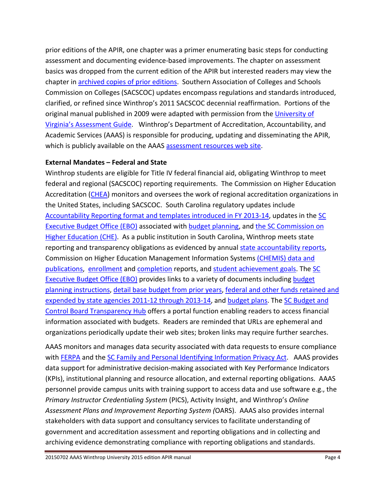prior editions of the APIR, one chapter was a primer enumerating basic steps for conducting assessment and documenting evidence-based improvements. The chapter on assessment basics was dropped from the current edition of the APIR but interested readers may view the chapter in [archived copies of prior editions.](http://www.winthrop.edu/accountability/default.aspx?id=11902) Southern Association of Colleges and Schools Commission on Colleges (SACSCOC) updates encompass regulations and standards introduced, clarified, or refined since Winthrop's 2011 SACSCOC decennial reaffirmation. Portions of the original manual published in 2009 were adapted with permission from the University of [Virginia's Assessment Guide.](uhttp://www.web.virginia.edu/iaas/assessment/assessment.shtmU) Winthrop's Department of Accreditation, Accountability, and Academic Services (AAAS) is responsible for producing, updating and disseminating the APIR, which is publicly available on the AAAS [assessment resources web site.](http://www.winthrop.edu/accountability/default.aspx?id=11902)

# <span id="page-3-0"></span>**External Mandates – Federal and State**

Winthrop students are eligible for Title IV federal financial aid, obligating Winthrop to meet federal and regional (SACSCOC) reporting requirements. The Commission on Higher Education Accreditation [\(CHEA\)](http://www.chea.org/) monitors and oversees the work of regional accreditation organizations in the United States, including SACSCOC. South Carolina regulatory updates include [Accountability Reporting format and templates introduced in FY 2013-14,](http://www.budget.sc.gov/EBO-accountabilty-planning.phtm) updates in the [SC](http://www.budget.sc.gov/EBO-index.phtm)  [Executive Budget Office](http://www.budget.sc.gov/EBO-index.phtm) (EBO) associated with [budget planning,](http://www.budget.sc.gov/EBO-budget-planning.phtm) and the SC Commission on [Higher Education \(CHE\).](http://www.che.sc.gov/DataPublications.aspx) As a public institution in South Carolina, Winthrop meets state reporting and transparency obligations as evidenced by annual [state accountability reports,](http://www.scstatehouse.gov/reports/reports.php) Commission on Higher Education Management Information Systems [\(CHEMIS\) data and](http://www.che.sc.gov/DataPublications.aspx)  [publications,](http://www.che.sc.gov/DataPublications.aspx) [enrollment](http://www.che.sc.gov/DataPublications/EnrollmentData.aspx) an[d completion](http://www.che.sc.gov/DataPublications/SearchtheCHEDocumentCatalog.aspx) reports, and [student achievement goals.](http://www.winthrop.edu/accountability/default.aspx?id=39591) The [SC](http://www.budget.sc.gov/EBO-index.phtm)  [Executive Budget Office \(EBO\)](http://www.budget.sc.gov/EBO-index.phtm) provides links to a variety of documents including [budget](http://www.budget.sc.gov/webfiles/OSB/budget%20planning/FY_2015-16_Budget_Instructions_%282%29.pdf)  [planning instructions,](http://www.budget.sc.gov/webfiles/OSB/budget%20planning/FY_2015-16_Budget_Instructions_%282%29.pdf) [detail base budget from prior years,](http://www.budget.sc.gov/webfiles/OSB/Detail%20Base%20Budgets/FY_2013-14_Detail_Budget_for_Webpage.pdf) [federal and other funds retained and](http://www.budget.sc.gov/webfiles/OSB/Funds%20Retained%20and%20Expended/Fed-Other_FY2011-12_thru_FY2013-14.pdf)  [expended by state agencies 2011-12 through 2013-14,](http://www.budget.sc.gov/webfiles/OSB/Funds%20Retained%20and%20Expended/Fed-Other_FY2011-12_thru_FY2013-14.pdf) and [budget plans.](http://www.budget.sc.gov/webfiles/OSB/budget%20plans/H470.pdf) The [SC Budget and](http://transparency.sc.gov/BCB/transparency/BCB-transparency-hub.phtm)  [Control Board Transparency Hub](http://transparency.sc.gov/BCB/transparency/BCB-transparency-hub.phtm) offers a portal function enabling readers to access financial information associated with budgets. Readers are reminded that URLs are ephemeral and organizations periodically update their web sites; broken links may require further searches.

AAAS monitors and manages data security associated with data requests to ensure compliance with [FERPA](http://www.winthrop.edu/recandreg/default.aspx?id=22609) and the [SC Family and Personal Identifying Information](http://www.scstatehouse.gov/code/t30c002.php) Privacy Act. AAAS provides data support for administrative decision-making associated with Key Performance Indicators (KPIs), institutional planning and resource allocation, and external reporting obligations. AAAS personnel provide campus units with training support to access data and use software e.g., the *Primary Instructor Credentialing System* (PICS), Activity Insight, and Winthrop's *Online Assessment Plans and Improvement Reporting System (*OARS). AAAS also provides internal stakeholders with data support and consultancy services to facilitate understanding of government and accreditation assessment and reporting obligations and in collecting and archiving evidence demonstrating compliance with reporting obligations and standards.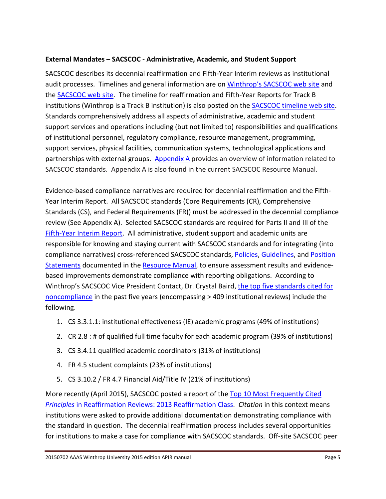# <span id="page-4-0"></span>**External Mandates – SACSCOC - Administrative, Academic, and Student Support**

SACSCOC describes its decennial reaffirmation and Fifth-Year Interim reviews as institutional audit processes. Timelines and general information are on [Winthrop's SACSCOC web site](http://www.winthrop.edu/sacs/) and the **SACSCOC** web site. The timeline for reaffirmation and Fifth-Year Reports for Track B institutions (Winthrop is a Track B institution) is also posted on the [SACSCOC timeline web site.](http://www.sacscoc.org/fifth%20year/2019_2024_fifth_year_timeline_charts_for_submission_and_review.pdf) Standards comprehensively address all aspects of administrative, academic and student support services and operations including (but not limited to) responsibilities and qualifications of institutional personnel, regulatory compliance, resource management, programming, support services, physical facilities, communication systems, technological applications and partnerships with external groups. [Appendix A](#page-30-0) provides an overview of information related to SACSCOC standards. Appendix A is also found in the current SACSCOC Resource Manual.

Evidence-based compliance narratives are required for decennial reaffirmation and the Fifth-Year Interim Report. All SACSCOC standards (Core Requirements (CR), Comprehensive Standards (CS), and Federal Requirements (FR)) must be addressed in the decennial compliance review (See Appendix A). Selected SACSCOC standards are required for Parts II and III of the [Fifth-Year Interim Report.](http://www.sacscoc.org/fifth%20year/Summary.The%20Fifth%20Year%20Interim%20Report.pdf) All administrative, student support and academic units are responsible for knowing and staying current with SACSCOC standards and for integrating (into compliance narratives) cross-referenced SACSCOC standards, [Policies,](http://www.sacscoc.org/policies.asp%23policies) [Guidelines,](http://www.sacscoc.org/policies.asp%23guidelines) and [Position](http://www.sacscoc.org/policies.asp%23position)  [Statements](http://www.sacscoc.org/policies.asp%23position) documented in the [Resource Manual,](http://www.sacscoc.org/pdf/Resource%20Manual.pdf) to ensure assessment results and evidencebased improvements demonstrate compliance with reporting obligations. According to Winthrop's SACSCOC Vice President Contact, Dr. Crystal Baird, the top five standards cited for [noncompliance](http://www.sacscoc.org/staff/cbaird/Fifth_Year_Interim_Review.pdf) in the past five years (encompassing > 409 institutional reviews) include the following.

- 1. CS 3.3.1.1: institutional effectiveness (IE) academic programs (49% of institutions)
- 2. CR 2.8 : # of qualified full time faculty for each academic program (39% of institutions)
- 3. CS 3.4.11 qualified academic coordinators (31% of institutions)
- 4. FR 4.5 student complaints (23% of institutions)
- 5. CS 3.10.2 / FR 4.7 Financial Aid/Title IV (21% of institutions)

More recently (April 2015), SACSCOC posted a report of the [Top 10 Most Frequently Cited](http://www.sacscoc.org/Research/Most_Frequently_Cited_Principles_2013_Track_A_B-rev.pdf)  *Principles* [in Reaffirmation Reviews: 2013 Reaffirmation Class.](http://www.sacscoc.org/Research/Most_Frequently_Cited_Principles_2013_Track_A_B-rev.pdf) *Citation* in this context means institutions were asked to provide additional documentation demonstrating compliance with the standard in question. The decennial reaffirmation process includes several opportunities for institutions to make a case for compliance with SACSCOC standards. Off-site SACSCOC peer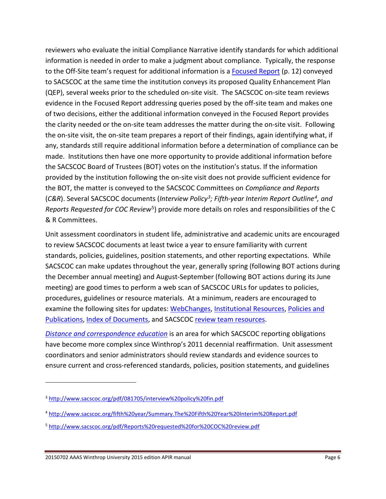reviewers who evaluate the initial Compliance Narrative identify standards for which additional information is needed in order to make a judgment about compliance. Typically, the response to the Off-Site team's request for additional information is a [Focused Report](http://www.sacscoc.org/pdf/081705/Handbook%20for%20Institutions%20seeking%20reaffirmation.pdf) (p. 12) conveyed to SACSCOC at the same time the institution conveys its proposed Quality Enhancement Plan (QEP), several weeks prior to the scheduled on-site visit. The SACSCOC on-site team reviews evidence in the Focused Report addressing queries posed by the off-site team and makes one of two decisions, either the additional information conveyed in the Focused Report provides the clarity needed or the on-site team addresses the matter during the on-site visit. Following the on-site visit, the on-site team prepares a report of their findings, again identifying what, if any, standards still require additional information before a determination of compliance can be made. Institutions then have one more opportunity to provide additional information before the SACSCOC Board of Trustees (BOT) votes on the institution's status. If the information provided by the institution following the on-site visit does not provide sufficient evidence for the BOT, the matter is conveyed to the SACSCOC Committees on *Compliance and Reports* (*C&R*). Several SACSCOC documents (*Interview Policy[3;](#page-5-0) Fifth-year Interim Report Outline[4](#page-5-1), and Reports Requested for COC Review*[5\)](#page-5-2) provide more details on roles and responsibilities of the C & R Committees.

Unit assessment coordinators in student life, administrative and academic units are encouraged to review SACSCOC documents at least twice a year to ensure familiarity with current standards, policies, guidelines, position statements, and other reporting expectations. While SACSCOC can make updates throughout the year, generally spring (following BOT actions during the December annual meeting) and August-September (following BOT actions during its June meeting) are good times to perform a web scan of SACSCOC URLs for updates to policies, procedures, guidelines or resource materials. At a minimum, readers are encouraged to examine the following sites for updates: [WebChanges,](http://www.sacscoc.org/webChanges.asp) [Institutional Resources,](http://www.sacscoc.org/inst_forms_and_info1.asp) [Policies and](http://www.sacscoc.org/policies.asp)  [Publications,](http://www.sacscoc.org/policies.asp) [Index of Documents,](http://www.sacscoc.org/publication_index.asp) and SACSCOC [review team resources.](http://www.sacscoc.org/committee_forms1.asp)

*[Distance and correspondence education](http://www.sacscoc.org/pdf/DistanceCorrespondenceEducation.pdf)* is an area for which SACSCOC reporting obligations have become more complex since Winthrop's 2011 decennial reaffirmation. Unit assessment coordinators and senior administrators should review standards and evidence sources to ensure current and cross-referenced standards, policies, position statements, and guidelines

 $\overline{a}$ 

<span id="page-5-0"></span><sup>3</sup> <http://www.sacscoc.org/pdf/081705/interview%20policy%20fin.pdf>

<span id="page-5-1"></span><sup>4</sup> <http://www.sacscoc.org/fifth%20year/Summary.The%20Fifth%20Year%20Interim%20Report.pdf>

<span id="page-5-2"></span><sup>5</sup> <http://www.sacscoc.org/pdf/Reports%20requested%20for%20COC%20review.pdf>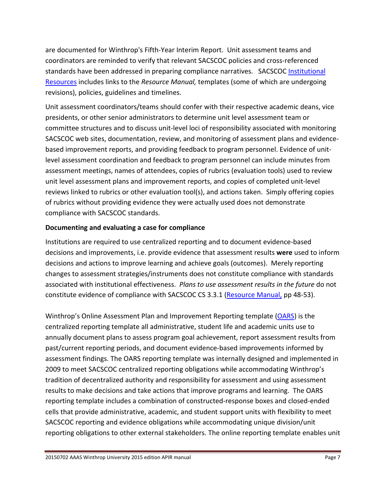are documented for Winthrop's Fifth-Year Interim Report. Unit assessment teams and coordinators are reminded to verify that relevant SACSCOC policies and cross-referenced standards have been addressed in preparing compliance narratives. SACSCOC Institutional [Resources](http://www.sacscoc.org/inst_forms_and_info1.asp) includes links to the *Resource Manual,* templates (some of which are undergoing revisions), policies, guidelines and timelines.

Unit assessment coordinators/teams should confer with their respective academic deans, vice presidents, or other senior administrators to determine unit level assessment team or committee structures and to discuss unit-level loci of responsibility associated with monitoring SACSCOC web sites, documentation, review, and monitoring of assessment plans and evidencebased improvement reports, and providing feedback to program personnel. Evidence of unitlevel assessment coordination and feedback to program personnel can include minutes from assessment meetings, names of attendees, copies of rubrics (evaluation tools) used to review unit level assessment plans and improvement reports, and copies of completed unit-level reviews linked to rubrics or other evaluation tool(s), and actions taken. Simply offering copies of rubrics without providing evidence they were actually used does not demonstrate compliance with SACSCOC standards.

#### **Documenting and evaluating a case for compliance**

Institutions are required to use centralized reporting and to document evidence-based decisions and improvements, i.e. provide evidence that assessment results **were** used to inform decisions and actions to improve learning and achieve goals (outcomes). Merely reporting changes to assessment strategies/instruments does not constitute compliance with standards associated with institutional effectiveness. *Plans to use assessment results in the future* do not constitute evidence of compliance with SACSCOC CS 3.3.1 [\(Resource Manual,](http://www.sacscoc.org/pdf/Resource%20Manual.pdf) pp 48-53).

Winthrop's Online Assessment Plan and Improvement Reporting template [\(OARS\)](https://www2.winthrop.edu/login/betatest/login.aspx?ReturnUrl=%2flogin%2fbetatest%2fdefault.aspx&s=0) is the centralized reporting template all administrative, student life and academic units use to annually document plans to assess program goal achievement, report assessment results from past/current reporting periods, and document evidence-based improvements informed by assessment findings. The OARS reporting template was internally designed and implemented in 2009 to meet SACSCOC centralized reporting obligations while accommodating Winthrop's tradition of decentralized authority and responsibility for assessment and using assessment results to make decisions and take actions that improve programs and learning. The OARS reporting template includes a combination of constructed-response boxes and closed-ended cells that provide administrative, academic, and student support units with flexibility to meet SACSCOC reporting and evidence obligations while accommodating unique division/unit reporting obligations to other external stakeholders. The online reporting template enables unit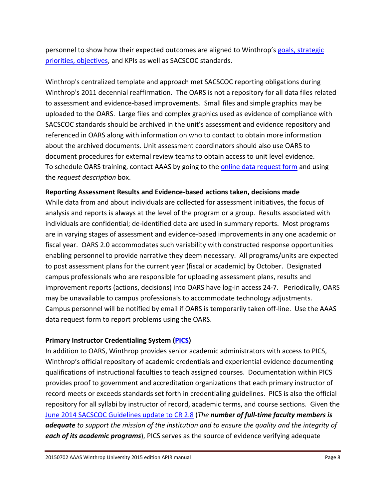personnel to show how their expected outcomes are aligned to Winthrop's [goals, strategic](http://www.winthrop.edu/uploadedFiles/FY2013-14alltemplates.pdf)  [priorities, objectives,](http://www.winthrop.edu/uploadedFiles/FY2013-14alltemplates.pdf) and KPIs as well as SACSCOC standards.

Winthrop's centralized template and approach met SACSCOC reporting obligations during Winthrop's 2011 decennial reaffirmation. The OARS is not a repository for all data files related to assessment and evidence-based improvements. Small files and simple graphics may be uploaded to the OARS. Large files and complex graphics used as evidence of compliance with SACSCOC standards should be archived in the unit's assessment and evidence repository and referenced in OARS along with information on who to contact to obtain more information about the archived documents. Unit assessment coordinators should also use OARS to document procedures for external review teams to obtain access to unit level evidence. To schedule OARS training, contact AAAS by going to the [online data request form](http://www.winthrop.edu/accountability/default.aspx?id=31370) and using the *request description* box.

#### **Reporting Assessment Results and Evidence-based actions taken, decisions made**

While data from and about individuals are collected for assessment initiatives, the focus of analysis and reports is always at the level of the program or a group. Results associated with individuals are confidential; de-identified data are used in summary reports. Most programs are in varying stages of assessment and evidence-based improvements in any one academic or fiscal year. OARS 2.0 accommodates such variability with constructed response opportunities enabling personnel to provide narrative they deem necessary. All programs/units are expected to post assessment plans for the current year (fiscal or academic) by October. Designated campus professionals who are responsible for uploading assessment plans, results and improvement reports (actions, decisions) into OARS have log-in access 24-7. Periodically, OARS may be unavailable to campus professionals to accommodate technology adjustments. Campus personnel will be notified by email if OARS is temporarily taken off-line. Use the AAAS data request form to report problems using the OARS.

# **Primary Instructor Credentialing System [\(PICS\)](http://www2.winthrop.edu/login/vita/login.aspx)**

In addition to OARS, Winthrop provides senior academic administrators with access to PICS, Winthrop's official repository of academic credentials and experiential evidence documenting qualifications of instructional faculties to teach assigned courses. Documentation within PICS provides proof to government and accreditation organizations that each primary instructor of record meets or exceeds standards set forth in credentialing guidelines. PICS is also the official repository for all syllabi by instructor of record, academic terms, and course sections. Given the [June 2014 SACSCOC Guidelines update to CR 2.8](http://www.sacscoc.org/pdf/081705/CR_2-8_Guideline.pdf) (*The number of full-time faculty members is adequate to support the mission of the institution and to ensure the quality and the integrity of each of its academic programs*), PICS serves as the source of evidence verifying adequate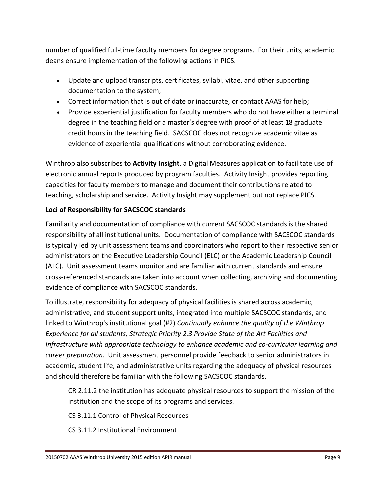number of qualified full-time faculty members for degree programs. For their units, academic deans ensure implementation of the following actions in PICS.

- Update and upload transcripts, certificates, syllabi, vitae, and other supporting documentation to the system;
- Correct information that is out of date or inaccurate, or contact AAAS for help;
- Provide experiential justification for faculty members who do not have either a terminal degree in the teaching field or a master's degree with proof of at least 18 graduate credit hours in the teaching field. SACSCOC does not recognize academic vitae as evidence of experiential qualifications without corroborating evidence.

Winthrop also subscribes to **Activity Insight**, a Digital Measures application to facilitate use of electronic annual reports produced by program faculties. Activity Insight provides reporting capacities for faculty members to manage and document their contributions related to teaching, scholarship and service. Activity Insight may supplement but not replace PICS.

# **Loci of Responsibility for SACSCOC standards**

Familiarity and documentation of compliance with current SACSCOC standards is the shared responsibility of all institutional units. Documentation of compliance with SACSCOC standards is typically led by unit assessment teams and coordinators who report to their respective senior administrators on the Executive Leadership Council (ELC) or the Academic Leadership Council (ALC). Unit assessment teams monitor and are familiar with current standards and ensure cross-referenced standards are taken into account when collecting, archiving and documenting evidence of compliance with SACSCOC standards.

To illustrate, responsibility for adequacy of physical facilities is shared across academic, administrative, and student support units, integrated into multiple SACSCOC standards, and linked to Winthrop's institutional goal (#2) *Continually enhance the quality of the Winthrop Experience for all students, Strategic Priority 2.3 Provide State of the Art Facilities and Infrastructure with appropriate technology to enhance academic and co-curricular learning and career preparation*. Unit assessment personnel provide feedback to senior administrators in academic, student life, and administrative units regarding the adequacy of physical resources and should therefore be familiar with the following SACSCOC standards.

CR 2.11.2 the institution has adequate physical resources to support the mission of the institution and the scope of its programs and services.

CS 3.11.1 Control of Physical Resources

CS 3.11.2 Institutional Environment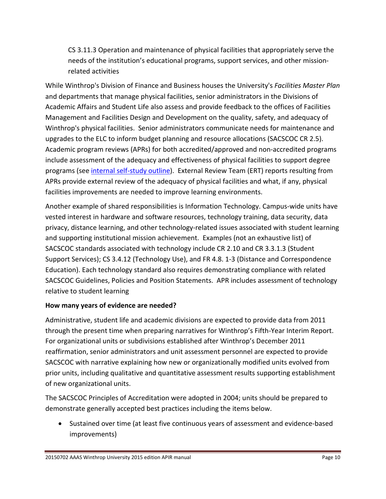CS 3.11.3 Operation and maintenance of physical facilities that appropriately serve the needs of the institution's educational programs, support services, and other missionrelated activities

While Winthrop's Division of Finance and Business houses the University's *Facilities Master Plan* and departments that manage physical facilities, senior administrators in the Divisions of Academic Affairs and Student Life also assess and provide feedback to the offices of Facilities Management and Facilities Design and Development on the quality, safety, and adequacy of Winthrop's physical facilities. Senior administrators communicate needs for maintenance and upgrades to the ELC to inform budget planning and resource allocations (SACSCOC CR 2.5). Academic program reviews (APRs) for both accredited/approved and non-accredited programs include assessment of the adequacy and effectiveness of physical facilities to support degree programs (see [internal self-study outline\)](http://www2.winthrop.edu/public/programreview/documents.aspx). External Review Team (ERT) reports resulting from APRs provide external review of the adequacy of physical facilities and what, if any, physical facilities improvements are needed to improve learning environments.

Another example of shared responsibilities is Information Technology. Campus-wide units have vested interest in hardware and software resources, technology training, data security, data privacy, distance learning, and other technology-related issues associated with student learning and supporting institutional mission achievement. Examples (not an exhaustive list) of SACSCOC standards associated with technology include CR 2.10 and CR 3.3.1.3 (Student Support Services); CS 3.4.12 (Technology Use), and FR 4.8. 1-3 (Distance and Correspondence Education). Each technology standard also requires demonstrating compliance with related SACSCOC Guidelines, Policies and Position Statements. APR includes assessment of technology relative to student learning

# **How many years of evidence are needed?**

Administrative, student life and academic divisions are expected to provide data from 2011 through the present time when preparing narratives for Winthrop's Fifth-Year Interim Report. For organizational units or subdivisions established after Winthrop's December 2011 reaffirmation, senior administrators and unit assessment personnel are expected to provide SACSCOC with narrative explaining how new or organizationally modified units evolved from prior units, including qualitative and quantitative assessment results supporting establishment of new organizational units.

The SACSCOC Principles of Accreditation were adopted in 2004; units should be prepared to demonstrate generally accepted best practices including the items below.

• Sustained over time (at least five continuous years of assessment and evidence-based improvements)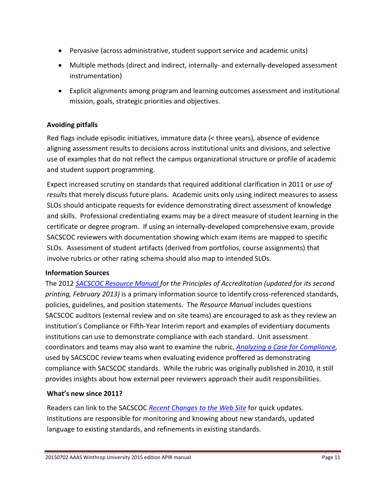- Pervasive (across administrative, student support service and academic units)
- Multiple methods (direct and indirect, internally- and externally-developed assessment instrumentation)
- Explicit alignments among program and learning outcomes assessment and institutional mission, goals, strategic priorities and objectives.

# **Avoiding pitfalls**

Red flags include episodic initiatives, immature data (< three years), absence of evidence aligning assessment results to decisions across institutional units and divisions, and selective use of examples that do not reflect the campus organizational structure or profile of academic and student support programming.

Expect increased scrutiny on standards that required additional clarification in 2011 or *use of results* that merely discuss future plans. Academic units only using indirect measures to assess SLOs should anticipate requests for evidence demonstrating direct assessment of knowledge and skills. Professional credentialing exams may be a direct measure of student learning in the certificate or degree program. If using an internally-developed comprehensive exam, provide SACSCOC reviewers with documentation showing which exam items are mapped to specific SLOs. Assessment of student artifacts (derived from portfolios, course assignments) that involve rubrics or other rating schema should also map to intended SLOs.

# **Information Sources**

The 2012 *[SACSCOC Resource Manual](http://www.sacscoc.org/pdf/Resource%20Manual.pdf) for the Principles of Accreditation (updated for its second printing, February 2013)* is a primary information source to identify cross-referenced standards, policies, guidelines, and position statements. The *Resource Manual* includes questions SACSCOC auditors (external review and on site teams) are encouraged to ask as they review an institution's Compliance or Fifth-Year Interim report and examples of evidentiary documents institutions can use to demonstrate compliance with each standard. Unit assessment coordinators and teams may also want to examine the rubric, *[Analyzing a Case for Compliance,](http://www.sacscoc.org/pdf/ANALYZING%20A%20CASE%20FOR%20COMPLIANCE_SEPT2010%20_2_.pdf)* used by SACSCOC review teams when evaluating evidence proffered as demonstrating compliance with SACSCOC standards. While the rubric was originally published in 2010, it still provides insights about how external peer reviewers approach their audit responsibilities.

# **What's new since 2011?**

Readers can link to the SACSCOC *[Recent Changes to the Web Site](http://www.sacscoc.org/webChanges.asp)* for quick updates. Institutions are responsible for monitoring and knowing about new standards, updated language to existing standards, and refinements in existing standards.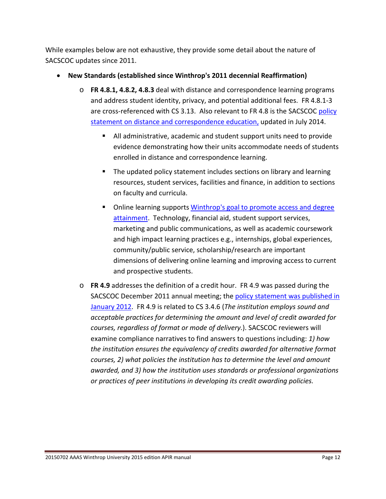While examples below are not exhaustive, they provide some detail about the nature of SACSCOC updates since 2011.

- **New Standards (established since Winthrop's 2011 decennial Reaffirmation)**
	- o **FR 4.8.1, 4.8.2, 4.8.3** deal with distance and correspondence learning programs and address student identity, privacy, and potential additional fees. FR 4.8.1-3 are cross-referenced with CS 3.13. Also relevant to FR 4.8 is the SACSCOC policy [statement on distance and correspondence education,](http://www.sacscoc.org/pdf/DistanceCorrespondenceEducation.pdf) updated in July 2014.
		- All administrative, academic and student support units need to provide evidence demonstrating how their units accommodate needs of students enrolled in distance and correspondence learning.
		- The updated policy statement includes sections on library and learning resources, student services, facilities and finance, in addition to sections on faculty and curricula.
		- Online learning support[s Winthrop's goal to promote access and degree](http://www.winthrop.edu/uploadedFiles/FY2013-14alltemplates.pdf)  [attainment.](http://www.winthrop.edu/uploadedFiles/FY2013-14alltemplates.pdf) Technology, financial aid, student support services, marketing and public communications, as well as academic coursework and high impact learning practices e.g., internships, global experiences, community/public service, scholarship/research are important dimensions of delivering online learning and improving access to current and prospective students.
	- o **FR 4.9** addresses the definition of a credit hour. FR 4.9 was passed during the SACSCOC December 2011 annual meeting; the [policy statement was published in](http://www.sacscoc.org/pdf/081705/Credit%20Hours.pdf)  [January 2012.](http://www.sacscoc.org/pdf/081705/Credit%20Hours.pdf) FR 4.9 is related to CS 3.4.6 (*The institution employs sound and acceptable practices for determining the amount and level of credit awarded for courses, regardless of format or mode of delivery.*). SACSCOC reviewers will examine compliance narratives to find answers to questions including: *1) how the institution ensures the equivalency of credits awarded for alternative format courses, 2) what policies the institution has to determine the level and amount awarded, and 3) how the institution uses standards or professional organizations or practices of peer institutions in developing its credit awarding policies.*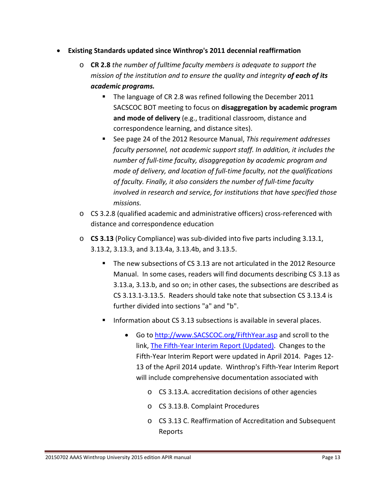- **Existing Standards updated since Winthrop's 2011 decennial reaffirmation**
	- o **CR 2.8** *the number of fulltime faculty members is adequate to support the mission of the institution and to ensure the quality and integrity of each of its academic programs.* 
		- The language of CR 2.8 was refined following the December 2011 SACSCOC BOT meeting to focus on **disaggregation by academic program and mode of delivery** (e.g., traditional classroom, distance and correspondence learning, and distance sites).
		- See page 24 of the 2012 Resource Manual, *This requirement addresses faculty personnel, not academic support staff. In addition, it includes the number of full-time faculty, disaggregation by academic program and mode of delivery, and location of full-time faculty, not the qualifications of faculty. Finally, it also considers the number of full-time faculty involved in research and service, for institutions that have specified those missions.*
	- o CS 3.2.8 (qualified academic and administrative officers) cross-referenced with distance and correspondence education
	- o **CS 3.13** (Policy Compliance) was sub-divided into five parts including 3.13.1, 3.13.2, 3.13.3, and 3.13.4a, 3.13.4b, and 3.13.5.
		- The new subsections of CS 3.13 are not articulated in the 2012 Resource Manual. In some cases, readers will find documents describing CS 3.13 as 3.13.a, 3.13.b, and so on; in other cases, the subsections are described as CS 3.13.1-3.13.5. Readers should take note that subsection CS 3.13.4 is further divided into sections "a" and "b".
		- Information about CS 3.13 subsections is available in several places.
			- Go t[o http://www.SACSCOC.org/FifthYear.asp](http://www.sacscoc.org/FifthYear.asp) and scroll to the link, [The Fifth-Year Interim Report](http://www.sacscoc.org/fifth%20year/Fifth%20Year%20Interim%20Report%20Updated.doc) (Updated). Changes to the Fifth-Year Interim Report were updated in April 2014. Pages 12- 13 of the April 2014 update. Winthrop's Fifth-Year Interim Report will include comprehensive documentation associated with
				- o CS 3.13.A. accreditation decisions of other agencies
				- o CS 3.13.B. Complaint Procedures
				- o CS 3.13 C. Reaffirmation of Accreditation and Subsequent Reports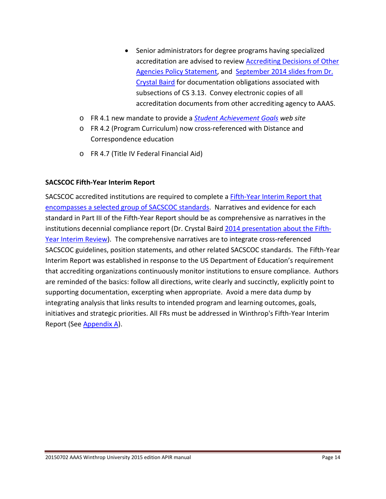- Senior administrators for degree programs having specialized accreditation are advised to review [Accrediting Decisions of Other](http://www.sacscoc.org/pdf/081705/AccredDecisionsOthers.pdf)  [Agencies Policy Statement,](http://www.sacscoc.org/pdf/081705/AccredDecisionsOthers.pdf) and [September 2014 slides from Dr.](http://www.sacscoc.org/staff/cbaird/Fifth_Year_Interim_Review.pdf)  [Crystal Baird](http://www.sacscoc.org/staff/cbaird/Fifth_Year_Interim_Review.pdf) for documentation obligations associated with subsections of CS 3.13. Convey electronic copies of all accreditation documents from other accrediting agency to AAAS.
- o FR 4.1 new mandate to provide a *[Student Achievement Goals](http://www.winthrop.edu/accountability/default.aspx?id=39591) web site*
- o FR 4.2 (Program Curriculum) now cross-referenced with Distance and Correspondence education
- o FR 4.7 (Title IV Federal Financial Aid)

#### **SACSCOC Fifth-Year Interim Report**

SACSCOC accredited institutions are required to complete a **Fifth-Year Interim Report that** [encompasses a selected group of SACSCOC](http://www.sacscoc.org/FifthYear.asp) standards. Narratives and evidence for each standard in Part III of the Fifth-Year Report should be as comprehensive as narratives in the institutions decennial compliance report (Dr. Crystal Baird [2014 presentation about the Fifth-](http://www.sacscoc.org/staff/cbaird/Fifth_Year_Interim_Review.pdf)[Year Interim Review\)](http://www.sacscoc.org/staff/cbaird/Fifth_Year_Interim_Review.pdf). The comprehensive narratives are to integrate cross-referenced SACSCOC guidelines, position statements, and other related SACSCOC standards. The Fifth-Year Interim Report was established in response to the US Department of Education's requirement that accrediting organizations continuously monitor institutions to ensure compliance. Authors are reminded of the basics: follow all directions, write clearly and succinctly, explicitly point to supporting documentation, excerpting when appropriate. Avoid a mere data dump by integrating analysis that links results to intended program and learning outcomes, goals, initiatives and strategic priorities. All FRs must be addressed in Winthrop's Fifth-Year Interim Report (See [Appendix](#page-30-0) A).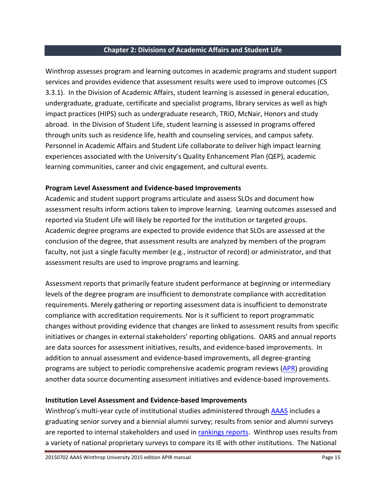#### <span id="page-14-0"></span>**Chapter 2: Divisions of Academic Affairs and Student Life**

Winthrop assesses program and learning outcomes in academic programs and student support services and provides evidence that assessment results were used to improve outcomes (CS 3.3.1). In the Division of Academic Affairs, student learning is assessed in general education, undergraduate, graduate, certificate and specialist programs, library services as well as high impact practices (HIPS) such as undergraduate research, TRiO, McNair, Honors and study abroad. In the Division of Student Life, student learning is assessed in programs offered through units such as residence life, health and counseling services, and campus safety. Personnel in Academic Affairs and Student Life collaborate to deliver high impact learning experiences associated with the University's Quality Enhancement Plan (QEP), academic learning communities, career and civic engagement, and cultural events.

#### **Program Level Assessment and Evidence-based Improvements**

Academic and student support programs articulate and assess SLOs and document how assessment results inform actions taken to improve learning. Learning outcomes assessed and reported via Student Life will likely be reported for the institution or targeted groups. Academic degree programs are expected to provide evidence that SLOs are assessed at the conclusion of the degree, that assessment results are analyzed by members of the program faculty, not just a single faculty member (e.g., instructor of record) or administrator, and that assessment results are used to improve programs and learning.

Assessment reports that primarily feature student performance at beginning or intermediary levels of the degree program are insufficient to demonstrate compliance with accreditation requirements. Merely gathering or reporting assessment data is insufficient to demonstrate compliance with accreditation requirements. Nor is it sufficient to report programmatic changes without providing evidence that changes are linked to assessment results from specific initiatives or changes in external stakeholders' reporting obligations. OARS and annual reports are data sources for assessment initiatives, results, and evidence-based improvements. In addition to annual assessment and evidence-based improvements, all degree-granting programs are subject to periodic comprehensive academic program reviews [\(APR\)](http://www2.winthrop.edu/public/programreview/guidelines.aspx) providing another data source documenting assessment initiatives and evidence-based improvements.

# **Institution Level Assessment and Evidence-based Improvements**

Winthrop's multi-year cycle of institutional studies administered through [AAAS](http://www.winthrop.edu/accountability/) includes a graduating senior survey and a biennial alumni survey; results from senior and alumni surveys are reported to internal stakeholders and used in [rankings reports.](http://www.winthrop.edu/president/default.aspx?id=13011) Winthrop uses results from a variety of national proprietary surveys to compare its IE with other institutions. The National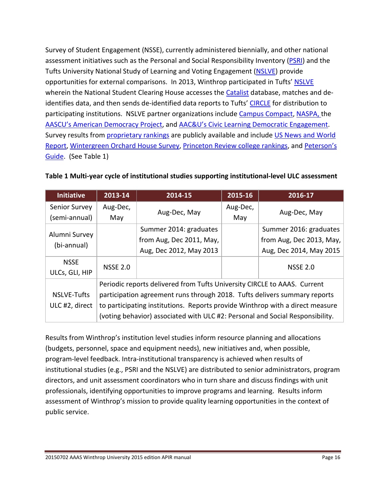Survey of Student Engagement (NSSE), currently administered biennially, and other national assessment initiatives such as the Personal and Social Responsibility Inventory [\(PSRI\)](http://www2.winthrop.edu/corecommitments/) and the Tufts University National Study of Learning and Voting Engagement [\(NSLVE\)](http://www.civicyouth.org/nslve/) provide opportunities for external comparisons. In 2013, Winthrop participated in Tufts' [NSLVE](http://www.civicyouth.org/nslve-faq/) wherein the National Student Clearing House accesses th[e Catalist](http://www.catalist.us/) database, matches and de-identifies data, and then sends de-identified data reports to Tufts' [CIRCLE](http://www.civicyouth.org/nslve-faq/) for distribution to participating institutions. NSLVE partner organizations include [Campus Compact,](http://www2.winthrop.edu/sccampuscompact/) [NASPA,](http://www.naspa.org/) the [AASCU's American Democracy Project,](http://www.aascu.org/programs/ADP/) and [AAC&U's Civic Learning Democratic Engagement.](http://www.aacu.org/aacu_news/aacunews12/december12/news_events.cfm) Survey results from [proprietary rankings](http://www.winthrop.edu/president/secondary.aspx?id=30199) are publicly available and include US News and World [Report,](http://colleges.usnews.rankingsandreviews.com/best-colleges) [Wintergreen Orchard House Survey,](http://www.wintergreenorchardhouse.com/about.php?subPageCat=aboutUs&pageCat=about) [Princeton Review college rankings,](http://www.princetonreview.com/college-rankings.aspx) and [Peterson's](http://www.petersons.com/college-search.aspx)  [Guide.](http://www.petersons.com/college-search.aspx) (See Table 1)

| <b>Initiative</b>              | 2013-14         | 2014-15                                                                                                                                                        | 2015-16         | 2016-17                                                                       |  |  |  |
|--------------------------------|-----------------|----------------------------------------------------------------------------------------------------------------------------------------------------------------|-----------------|-------------------------------------------------------------------------------|--|--|--|
| Senior Survey<br>(semi-annual) | Aug-Dec,<br>May | Aug-Dec, May                                                                                                                                                   | Aug-Dec,<br>May | Aug-Dec, May                                                                  |  |  |  |
| Alumni Survey<br>(bi-annual)   |                 | Summer 2014: graduates<br>from Aug, Dec 2011, May,<br>Aug, Dec 2012, May 2013                                                                                  |                 | Summer 2016: graduates<br>from Aug, Dec 2013, May,<br>Aug, Dec 2014, May 2015 |  |  |  |
| <b>NSSE</b><br>ULCs, GLI, HIP  | <b>NSSE 2.0</b> |                                                                                                                                                                |                 | <b>NSSE 2.0</b>                                                               |  |  |  |
| NSLVE-Tufts                    |                 | Periodic reports delivered from Tufts University CIRCLE to AAAS. Current<br>participation agreement runs through 2018. Tufts delivers summary reports          |                 |                                                                               |  |  |  |
| ULC #2, direct                 |                 | to participating institutions. Reports provide Winthrop with a direct measure<br>(voting behavior) associated with ULC #2: Personal and Social Responsibility. |                 |                                                                               |  |  |  |

Results from Winthrop's institution level studies inform resource planning and allocations (budgets, personnel, space and equipment needs), new initiatives and, when possible, program-level feedback. Intra-institutional transparency is achieved when results of institutional studies (e.g., PSRI and the NSLVE) are distributed to senior administrators, program directors, and unit assessment coordinators who in turn share and discuss findings with unit professionals, identifying opportunities to improve programs and learning. Results inform assessment of Winthrop's mission to provide quality learning opportunities in the context of public service.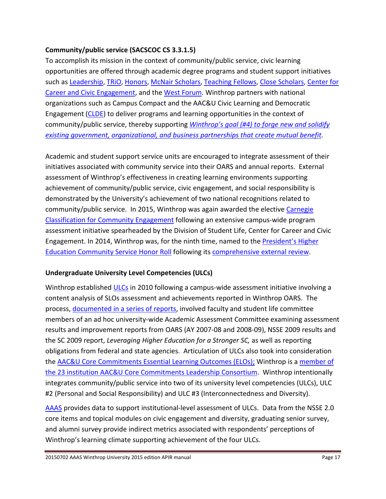# **Community/public service (SACSCOC CS 3.3.1.5)**

To accomplish its mission in the context of community/public service, civic learning opportunities are offered through academic degree programs and student support initiatives such as [Leadership,](http://www.winthrop.edu/leadershipstudies/) [TRiO,](http://www.winthrop.edu/triosss/) [Honors,](http://www.winthrop.edu/honors/) McNair [Scholars,](https://www.winthrop.edu/mcnair/default.aspx?id=28621) [Teaching Fellows,](http://www.winthrop.edu/teachingfellows/) [Close Scholars,](https://www.winthrop.edu/finaid/default.aspx?id=3577) [Center for](http://www.winthrop.edu/cce/default.aspx)  [Career and Civic Engagement,](http://www.winthrop.edu/cce/default.aspx) and the [West Forum.](http://www.winthrop.edu/westforum/) Winthrop partners with national organizations such as Campus Compact and the AAC&U Civic Learning and Democratic Engagement [\(CLDE\)](http://www.aacu.org/clde) to deliver programs and learning opportunities in the context of community/public service, thereby supporting *[Winthrop's goal \(#4\) to forge new and solidify](http://www.winthrop.edu/uploadedFiles/FY2013-14alltemplates.pdf)  [existing government, organizational, and business partnerships that create mutual benefit.](http://www.winthrop.edu/uploadedFiles/FY2013-14alltemplates.pdf)*

Academic and student support service units are encouraged to integrate assessment of their initiatives associated with community service into their OARS and annual reports. External assessment of Winthrop's effectiveness in creating learning environments supporting achievement of community/public service, civic engagement, and social responsibility is demonstrated by the University's achievement of two national recognitions related to community/public service. In 2015, Winthrop was again awarded the elective [Carnegie](http://www.winthrop.edu/news-events/article.aspx?id=38962)  [Classification for Community Engagement](http://www.winthrop.edu/news-events/article.aspx?id=38962) following an extensive campus-wide program assessment initiative spearheaded by the Division of Student Life, Center for Career and Civic Engagement. In 2014, Winthrop was, for the ninth time, named to the **President's Higher** [Education Community Service Honor Roll](http://www.winthrop.edu/news-events/article.aspx?id=38537) following its [comprehensive external review.](http://www.nationalservice.gov/sites/default/files/documents/2015_Honor_Roll_FAQs.pdf)

# **Undergraduate University Level Competencies (ULCs)**

Winthrop established [ULCs](http://www.winthrop.edu/academic-affairs/secondary.aspx?id=15731) in 2010 following a campus-wide assessment initiative involving a content analysis of SLOs assessment and achievements reported in Winthrop OARS. The process, [documented in a series of reports,](http://www2.winthrop.edu/aaas/uwaac/committee_reports.aspx) involved faculty and student life committee members of an ad hoc university-wide Academic Assessment Committee examining assessment results and improvement reports from OARS (AY 2007-08 and 2008-09), NSSE 2009 results and the SC 2009 report, *Leveraging Higher Education for a Stronger SC,* as well as reporting obligations from federal and state agencies. Articulation of ULCs also took into consideration the [AAC&U Core Commitments Essential Learning Outcomes \(ELOs\);](http://www.aacu.org/leap/vision.cfm) Winthrop is a [member of](https://www.aacu.org/core_commitments/leadership-consortium)  [the 23 institution AAC&U Core Commitments Leadership Consortium.](https://www.aacu.org/core_commitments/leadership-consortium) Winthrop intentionally integrates community/public service into two of its university level competencies (ULCs), ULC #2 (Personal and Social Responsibility) and ULC #3 (Interconnectedness and Diversity).

[AAAS](http://www.winthrop.edu/accountability/) provides data to support institutional-level assessment of ULCs. Data from the NSSE 2.0 core items and topical modules on civic engagement and diversity, graduating senior survey, and alumni survey provide indirect metrics associated with respondents' perceptions of Winthrop's learning climate supporting achievement of the four ULCs.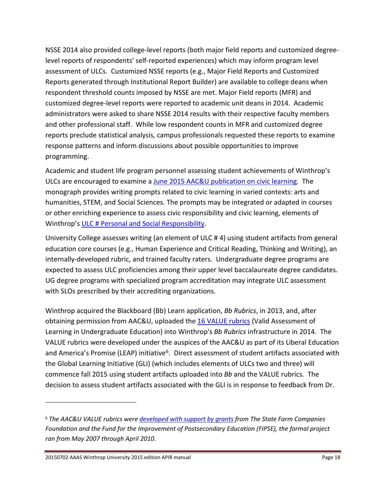NSSE 2014 also provided college-level reports (both major field reports and customized degreelevel reports of respondents' self-reported experiences) which may inform program level assessment of ULCs. Customized NSSE reports (e.g., Major Field Reports and Customized Reports generated through Institutional Report Builder) are available to college deans when respondent threshold counts imposed by NSSE are met. Major Field reports (MFR) and customized degree-level reports were reported to academic unit deans in 2014. Academic administrators were asked to share NSSE 2014 results with their respective faculty members and other professional staff. While low respondent counts in MFR and customized degree reports preclude statistical analysis, campus professionals requested these reports to examine response patterns and inform discussions about possible opportunities to improve programming.

Academic and student life program personnel assessing student achievements of Winthrop's ULCs are encouraged to examine a [June 2015 AAC&U publication on civic learning.](http://portal.criticalimpact.com/user/25043/image/imp0/sites/default/files/files/CLDE/CivicPrompts.pdf?utm_medium=email&utm_source=civicprmt&utm_campaign=civicprmt) The monograph provides writing prompts related to civic learning in varied contexts: arts and humanities, STEM, and Social Sciences. The prompts may be integrated or adapted in courses or other enriching experience to assess civic responsibility and civic learning, elements of Winthrop's [ULC # Personal and Social Responsibility.](http://www.winthrop.edu/academic-affairs/secondary.aspx?id=15731)

University College assesses writing (an element of ULC # 4) using student artifacts from general education core courses (e.g., Human Experience and Critical Reading, Thinking and Writing), an internally-developed rubric, and trained faculty raters. Undergraduate degree programs are expected to assess ULC proficiencies among their upper level baccalaureate degree candidates. UG degree programs with specialized program accreditation may integrate ULC assessment with SLOs prescribed by their accrediting organizations.

Winthrop acquired the Blackboard (Bb) Learn application, *Bb Rubrics*, in 2013, and, after obtaining permission from AAC&U, uploaded the [16 VALUE rubrics](http://www.aacu.org/value/abouttherubrics.cfm) (Valid Assessment of Learning in Undergraduate Education) into Winthrop's *Bb Rubrics* infrastructure in 2014. The VALUE rubrics were developed under the auspices of the AAC&U as part of its Liberal Education and America's Promise (LEAP) initiative<sup>[6](#page-17-0)</sup>. Direct assessment of student artifacts associated with the Global Learning Initiative (GLI) (which includes elements of ULCs two and three) will commence fall 2015 using student artifacts uploaded into *Bb* and the VALUE rubrics. The decision to assess student artifacts associated with the GLI is in response to feedback from Dr.

 $\overline{a}$ 

<span id="page-17-0"></span><sup>6</sup> *The AAC&U VALUE rubrics were [developed with support by grants](http://www.aacu.org/value/project_description.cfm) from The State Farm Companies Foundation and the Fund for the Improvement of Postsecondary Education (FIPSE), the formal project ran from May 2007 through April 2010*.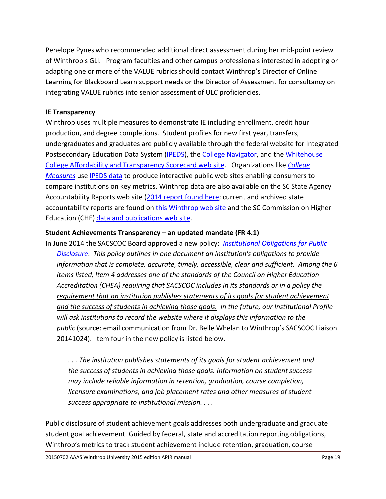Penelope Pynes who recommended additional direct assessment during her mid-point review of Winthrop's GLI. Program faculties and other campus professionals interested in adopting or adapting one or more of the VALUE rubrics should contact Winthrop's Director of Online Learning for Blackboard Learn support needs or the Director of Assessment for consultancy on integrating VALUE rubrics into senior assessment of ULC proficiencies.

#### **IE Transparency**

Winthrop uses multiple measures to demonstrate IE including enrollment, credit hour production, and degree completions. Student profiles for new first year, transfers, undergraduates and graduates are publicly available through the federal website for Integrated Postsecondary Education Data System [\(IPEDS\)](http://nces.ed.gov/ipeds/datacenter/), the [College Navigator,](http://nces.ed.gov/collegenavigator/?q=Winthrop+University&s=all&zc=29733&zd=5&of=3&id=218964%23general) and the Whitehouse [College Affordability and Transparency Scorecard web site.](http://www.whitehouse.gov/issues/education/higher-education/college-score-card) Organizations like *[College](http://www.collegemeasures.org/4-year_colleges/home/)  [Measures](http://www.collegemeasures.org/4-year_colleges/home/)* use [IPEDS data](http://www.collegemeasures.org/page/Glossary.aspx) to produce interactive public web sites enabling consumers to compare institutions on key metrics. Winthrop data are also available on the SC State Agency Accountability Reports web site [\(2014 report found here;](http://www.scstatehouse.gov/reports/aar2014/aar2014.php) current and archived state accountability reports are found on [this Winthrop web site](http://www.winthrop.edu/accountability/default.aspx?id=7996) and the SC Commission on Higher Education (CHE) [data and publications web site.](http://www.che.sc.gov/DataPublications.aspx)

# **Student Achievements Transparency – an updated mandate (FR 4.1)**

In June 2014 the SACSCOC Board approved a new policy: *[Institutional Obligations for Public](http://www.sacscoc.org/pdf/081705/InstitutionalObligationsPublicDisclosure.pdf)  [Disclosure](http://www.sacscoc.org/pdf/081705/InstitutionalObligationsPublicDisclosure.pdf)*. *This policy outlines in one document an institution's obligations to provide information that is complete, accurate, timely, accessible, clear and sufficient. Among the 6 items listed, Item 4 addresses one of the standards of the Council on Higher Education Accreditation (CHEA) requiring that SACSCOC includes in its standards or in a policy the requirement that an institution publishes statements of its goals for student achievement and the success of students in achieving those goals. In the future, our Institutional Profile will ask institutions to record the website where it displays this information to the public* (source: email communication from Dr. Belle Whelan to Winthrop's SACSCOC Liaison 20141024). Item four in the new policy is listed below.

*. . . The institution publishes statements of its goals for student achievement and the success of students in achieving those goals. Information on student success may include reliable information in retention, graduation, course completion, licensure examinations, and job placement rates and other measures of student success appropriate to institutional mission. . . .*

Public disclosure of student achievement goals addresses both undergraduate and graduate student goal achievement. Guided by federal, state and accreditation reporting obligations, Winthrop's metrics to track student achievement include retention, graduation, course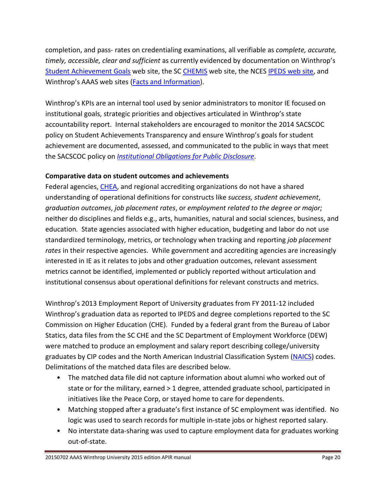completion, and pass- rates on credentialing examinations, all verifiable as *complete, accurate, timely, accessible, clear and sufficient* as currently evidenced by documentation on Winthrop's [Student Achievement Goals](http://www.winthrop.edu/accountability/default.aspx?id=39591) web site, the SC [CHEMIS](http://www.che.sc.gov/InstitutionsEducators.aspx%23AcademicReporting) web site, the NCES [IPEDS web site,](http://nces.ed.gov/ipeds/datacenter/) and Winthrop's AAAS web sites (**Facts and Information**).

Winthrop's KPIs are an internal tool used by senior administrators to monitor IE focused on institutional goals, strategic priorities and objectives articulated in Winthrop's state accountability report. Internal stakeholders are encouraged to monitor the 2014 SACSCOC policy on Student Achievements Transparency and ensure Winthrop's goals for student achievement are documented, assessed, and communicated to the public in ways that meet the SACSCOC policy on *[Institutional Obligations for Public Disclosure](http://www.sacscoc.org/pdf/081705/InstitutionalObligationsPublicDisclosure.pdf)*.

#### **Comparative data on student outcomes and achievements**

Federal agencies, [CHEA,](http://www.chea.org/) and regional accrediting organizations do not have a shared understanding of operational definitions for constructs like *success, student achievement*, *graduation outcomes*, *job placement rates*, or *employment related to the degree or major;*  neither do disciplines and fields e.g., arts, humanities, natural and social sciences, business, and education*.* State agencies associated with higher education, budgeting and labor do not use standardized terminology, metrics, or technology when tracking and reporting *job placement rates* in their respective agencies. While government and accrediting agencies are increasingly interested in IE as it relates to jobs and other graduation outcomes, relevant assessment metrics cannot be identified, implemented or publicly reported without articulation and institutional consensus about operational definitions for relevant constructs and metrics.

Winthrop's 2013 Employment Report of University graduates from FY 2011-12 included Winthrop's graduation data as reported to IPEDS and degree completions reported to the SC Commission on Higher Education (CHE). Funded by a federal grant from the Bureau of Labor Statics, data files from the SC CHE and the SC Department of Employment Workforce (DEW) were matched to produce an employment and salary report describing college/university graduates by CIP codes and the North American Industrial Classification System [\(NAICS\)](http://www.census.gov/eos/www/naics/) codes. Delimitations of the matched data files are described below.

- The matched data file did not capture information about alumni who worked out of state or for the military, earned > 1 degree, attended graduate school, participated in initiatives like the Peace Corp, or stayed home to care for dependents.
- Matching stopped after a graduate's first instance of SC employment was identified. No logic was used to search records for multiple in-state jobs or highest reported salary.
- No interstate data-sharing was used to capture employment data for graduates working out-of-state.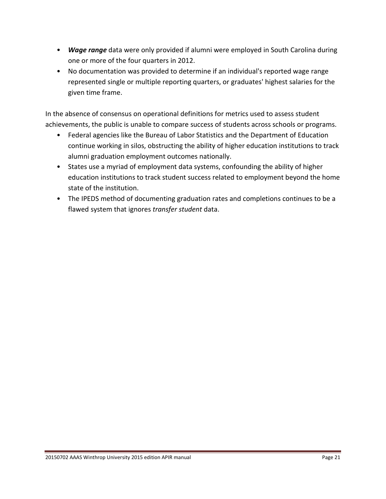- *Wage range* data were only provided if alumni were employed in South Carolina during one or more of the four quarters in 2012.
- No documentation was provided to determine if an individual's reported wage range represented single or multiple reporting quarters, or graduates' highest salaries for the given time frame.

In the absence of consensus on operational definitions for metrics used to assess student achievements, the public is unable to compare success of students across schools or programs.

- Federal agencies like the Bureau of Labor Statistics and the Department of Education continue working in silos, obstructing the ability of higher education institutions to track alumni graduation employment outcomes nationally.
- States use a myriad of employment data systems, confounding the ability of higher education institutions to track student success related to employment beyond the home state of the institution.
- The IPEDS method of documenting graduation rates and completions continues to be a flawed system that ignores *transfer student* data.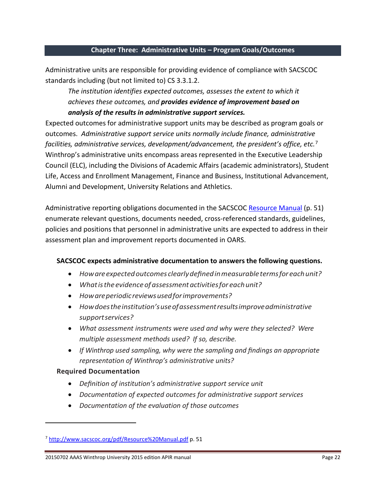#### <span id="page-21-0"></span>**Chapter Three: Administrative Units – Program Goals/Outcomes**

Administrative units are responsible for providing evidence of compliance with SACSCOC standards including (but not limited to) CS 3.3.1.2.

*The institution identifies expected outcomes, assesses the extent to which it achieves these outcomes, and provides evidence of improvement based on analysis of the results in administrative support services.* 

Expected outcomes for administrative support units may be described as program goals or outcomes. *Administrative support service units normally include finance, administrative facilities, administrative services, development/advancement, the president's office, etc.*[7](#page-21-1) Winthrop's administrative units encompass areas represented in the Executive Leadership Council (ELC), including the Divisions of Academic Affairs (academic administrators), Student Life, Access and Enrollment Management, Finance and Business, Institutional Advancement, Alumni and Development, University Relations and Athletics.

Administrative reporting obligations documented in the SACSCOC [Resource Manual](http://www.sacscoc.org/pdf/Resource%20Manual.pdf) (p. 51) enumerate relevant questions, documents needed, cross-referenced standards, guidelines, policies and positions that personnel in administrative units are expected to address in their assessment plan and improvement reports documented in OARS.

#### **SACSCOC expects administrative documentation to answers the following questions.**

- *Howareexpectedoutcomes clearlydefinedinmeasurabletermsfor eachunit?*
- *Whatistheevidenceof assessmentactivitiesfor eachunit?*
- *Howareperiodicreviewsusedforimprovements?*
- *Howdoestheinstitution'suseofassessmentresultsimproveadministrative supportservices?*
- *What assessment instruments were used and why were they selected? Were multiple assessment methods used? If so, describe.*
- *If Winthrop used sampling, why were the sampling and findings an appropriate representation of Winthrop's administrative units?*

#### **Required Documentation**

 $\overline{a}$ 

- *Definition of institution's administrative support service unit*
- *Documentation of expected outcomes for administrative support services*
- *Documentation of the evaluation of those outcomes*

<span id="page-21-1"></span><sup>7</sup> <http://www.sacscoc.org/pdf/Resource%20Manual.pdf> p. 51

<sup>20150702</sup> AAAS Winthrop University 2015 edition APIR manual Page 22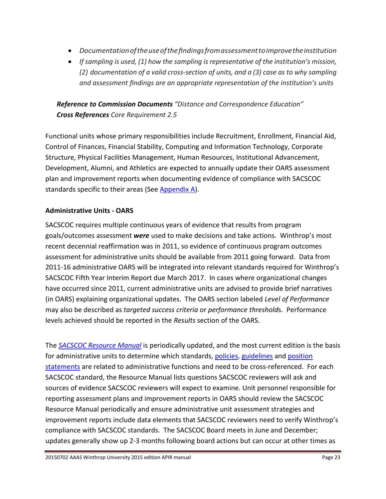- *Documentationoftheuseofthefindingsfromassessmenttoimprovetheinstitution*
- *If sampling is used, (1) how the sampling isrepresentative of the institution's mission, (2) documentation of a valid cross-section of units, and a (3) case as to why sampling and assessment findings are an appropriate representation of the institution's units*

# *Reference to Commission Documents "Distance and Correspondence Education" Cross References Core Requirement 2.5*

Functional units whose primary responsibilities include Recruitment, Enrollment, Financial Aid, Control of Finances, Financial Stability, Computing and Information Technology, Corporate Structure, Physical Facilities Management, Human Resources, Institutional Advancement, Development, Alumni, and Athletics are expected to annually update their OARS assessment plan and improvement reports when documenting evidence of compliance with SACSCOC standards specific to their areas (See [Appendix A\)](#page-30-0).

# **Administrative Units - OARS**

SACSCOC requires multiple continuous years of evidence that results from program goals/outcomes assessment *were* used to make decisions and take actions. Winthrop's most recent decennial reaffirmation was in 2011, so evidence of continuous program outcomes assessment for administrative units should be available from 2011 going forward. Data from 2011-16 administrative OARS will be integrated into relevant standards required for Winthrop's SACSCOC Fifth Year Interim Report due March 2017. In cases where organizational changes have occurred since 2011, current administrative units are advised to provide brief narratives (in OARS) explaining organizational updates. The OARS section labeled *Level of Performance* may also be described as *targeted success criteria* or *performance threshold*s. Performance levels achieved should be reported in the *Results* section of the OARS.

The *[SACSCOC Resource Manual](http://www.sacscoc.org/inst_forms_and_info1.asp)* is periodically updated, and the most current edition is the basis for administrative units to determine which standards, [policies,](http://www.sacscoc.org/policies.asp%23policies) [guidelines](http://www.sacscoc.org/policies.asp%23guidelines) and position [statements](http://www.sacscoc.org/policies.asp%23position) are related to administrative functions and need to be cross-referenced. For each SACSCOC standard, the Resource Manual lists questions SACSCOC reviewers will ask and sources of evidence SACSCOC reviewers will expect to examine. Unit personnel responsible for reporting assessment plans and improvement reports in OARS should review the SACSCOC Resource Manual periodically and ensure administrative unit assessment strategies and improvement reports include data elements that SACSCOC reviewers need to verify Winthrop's compliance with SACSCOC standards. The SACSCOC Board meets in June and December; updates generally show up 2-3 months following board actions but can occur at other times as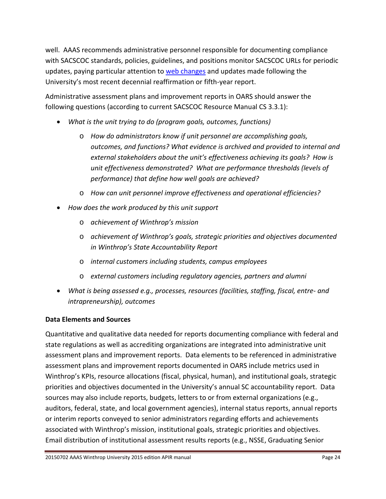well. AAAS recommends administrative personnel responsible for documenting compliance with SACSCOC standards, policies, guidelines, and positions monitor SACSCOC URLs for periodic updates, paying particular attention to [web changes](http://www.sacscoc.org/webChanges.asp) and updates made following the University's most recent decennial reaffirmation or fifth-year report.

Administrative assessment plans and improvement reports in OARS should answer the following questions (according to current SACSCOC Resource Manual CS 3.3.1):

- *What is the unit trying to do (program goals, outcomes, functions)* 
	- o *How do administrators know if unit personnel are accomplishing goals, outcomes, and functions? What evidence is archived and provided to internal and external stakeholders about the unit's effectiveness achieving its goals? How is unit effectiveness demonstrated? What are performance thresholds (levels of performance) that define how well goals are achieved?*
	- o *How can unit personnel improve effectiveness and operational efficiencies?*
- *How does the work produced by this unit support* 
	- o *achievement of Winthrop's mission*
	- o *achievement of Winthrop's goals, strategic priorities and objectives documented in Winthrop's State Accountability Report*
	- o *internal customers including students, campus employees*
	- o *external customers including regulatory agencies, partners and alumni*
- *What is being assessed e.g., processes, resources (facilities, staffing, fiscal, entre- and intrapreneurship), outcomes*

# **Data Elements and Sources**

Quantitative and qualitative data needed for reports documenting compliance with federal and state regulations as well as accrediting organizations are integrated into administrative unit assessment plans and improvement reports. Data elements to be referenced in administrative assessment plans and improvement reports documented in OARS include metrics used in Winthrop's KPIs, resource allocations (fiscal, physical, human), and institutional goals, strategic priorities and objectives documented in the University's annual SC accountability report. Data sources may also include reports, budgets, letters to or from external organizations (e.g., auditors, federal, state, and local government agencies), internal status reports, annual reports or interim reports conveyed to senior administrators regarding efforts and achievements associated with Winthrop's mission, institutional goals, strategic priorities and objectives. Email distribution of institutional assessment results reports (e.g., NSSE, Graduating Senior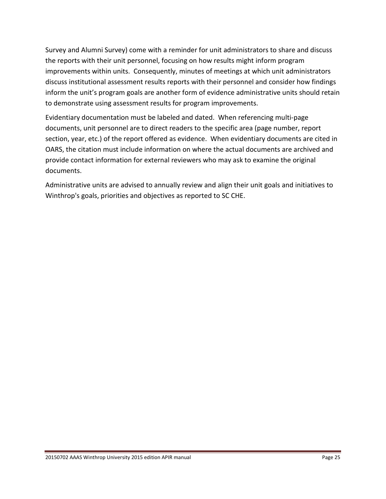Survey and Alumni Survey) come with a reminder for unit administrators to share and discuss the reports with their unit personnel, focusing on how results might inform program improvements within units. Consequently, minutes of meetings at which unit administrators discuss institutional assessment results reports with their personnel and consider how findings inform the unit's program goals are another form of evidence administrative units should retain to demonstrate using assessment results for program improvements.

Evidentiary documentation must be labeled and dated. When referencing multi-page documents, unit personnel are to direct readers to the specific area (page number, report section, year, etc.) of the report offered as evidence. When evidentiary documents are cited in OARS, the citation must include information on where the actual documents are archived and provide contact information for external reviewers who may ask to examine the original documents.

Administrative units are advised to annually review and align their unit goals and initiatives to Winthrop's goals, priorities and objectives as reported to SC CHE.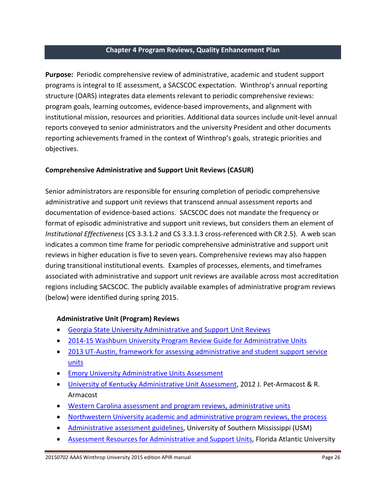#### <span id="page-25-0"></span>**Chapter 4 Program Reviews, Quality Enhancement Plan**

**Purpose:** Periodic comprehensive review of administrative, academic and student support programs is integral to IE assessment, a SACSCOC expectation. Winthrop's annual reporting structure (OARS) integrates data elements relevant to periodic comprehensive reviews: program goals, learning outcomes, evidence-based improvements, and alignment with institutional mission, resources and priorities. Additional data sources include unit-level annual reports conveyed to senior administrators and the university President and other documents reporting achievements framed in the context of Winthrop's goals, strategic priorities and objectives.

#### **Comprehensive Administrative and Support Unit Reviews (CASUR)**

Senior administrators are responsible for ensuring completion of periodic comprehensive administrative and support unit reviews that transcend annual assessment reports and documentation of evidence-based actions. SACSCOC does not mandate the frequency or format of episodic administrative and support unit reviews, but considers them an element of *Institutional Effectiveness* (CS 3.3.1.2 and CS 3.3.1.3 cross-referenced with CR 2.5). A web scan indicates a common time frame for periodic comprehensive administrative and support unit reviews in higher education is five to seven years. Comprehensive reviews may also happen during transitional institutional events. Examples of processes, elements, and timeframes associated with administrative and support unit reviews are available across most accreditation regions including SACSCOC. The publicly available examples of administrative program reviews (below) were identified during spring 2015.

#### **Administrative Unit (Program) Reviews**

- [Georgia State University Administrative and Support Unit Reviews](http://oie.gsu.edu/assessment-and-revie-academic-and-adminstrative/administrative-and-support-unit-review-asur-2/)
- [2014-15 Washburn University Program Review Guide for Administrative Units](http://www.washburn.edu/about/facts/program-review/administrative-program-review.pdf)
- [2013 UT-Austin, framework for assessing administrative and student support service](http://www.utexas.edu/provost/iae/resources/pdfs/Developing%20Plans_Administrative.pdf)  [units](http://www.utexas.edu/provost/iae/resources/pdfs/Developing%20Plans_Administrative.pdf)
- [Emory University Administrative Units Assessment](http://www.oirpe.emory.edu/Assessment/Administrative%20Units%20Assessment.html)
- [University of Kentucky Administrative Unit Assessment,](http://www.uky.edu/IRPE/workshoppowerpoints/IE_UKOperationalAssessmentAdministrative%289-16-12--1000%29.pdf) 2012 J. Pet-Armacost & R. Armacost
- [Western Carolina assessment and program reviews, administrative units](http://www.wcu.edu/about-wcu/leadership/office-of-the-provost/oipe/assessment-program-review/index.asp)
- [Northwestern University academic and administrative program reviews, the process](http://www.adminplan.northwestern.edu/program-review/process.html)
- [Administrative assessment guidelines,](https://www.usm.edu/sites/default/files/groups/institutional-effectiveness/pdf/administrative_unit_assessment_guidelines_12.18.12.pdf) University of Southern Mississippi (USM)
- [Assessment Resources for Administrative and Support Units,](http://www.fau.edu/iea/assessment/units.php) Florida Atlantic University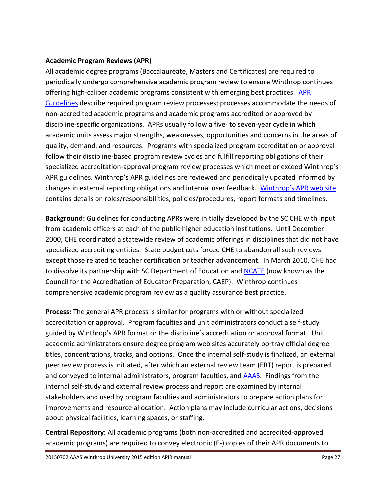#### **Academic Program Reviews (APR)**

All academic degree programs (Baccalaureate, Masters and Certificates) are required to periodically undergo comprehensive academic program review to ensure Winthrop continues offering high-caliber academic programs consistent with emerging best practices. APR [Guidelines](http://www2.winthrop.edu/public/programreview/guidelines.aspx) describe required program review processes; processes accommodate the needs of non-accredited academic programs and academic programs accredited or approved by discipline-specific organizations. APRs usually follow a five- to seven-year cycle in which academic units assess major strengths, weaknesses, opportunities and concerns in the areas of quality, demand, and resources. Programs with specialized program accreditation or approval follow their discipline-based program review cycles and fulfill reporting obligations of their specialized accreditation-approval program review processes which meet or exceed Winthrop's APR guidelines. Winthrop's APR guidelines are reviewed and periodically updated informed by changes in external reporting obligations and internal user feedback. [Winthrop's APR web site](http://www2.winthrop.edu/public/programreview/) contains details on roles/responsibilities, policies/procedures, report formats and timelines.

**Background:** Guidelines for conducting APRs were initially developed by the SC CHE with input from academic officers at each of the public higher education institutions. Until December 2000, CHE coordinated a statewide review of academic offerings in disciplines that did not have specialized accrediting entities. State budget cuts forced CHE to abandon all such reviews except those related to teacher certification or teacher advancement. In March 2010, CHE had to dissolve its partnership with SC Department of Education an[d NCATE](http://www.ncate.org/) (now known as the Council for the Accreditation of Educator Preparation, CAEP). Winthrop continues comprehensive academic program review as a quality assurance best practice.

**Process:** The general APR process is similar for programs with or without specialized accreditation or approval. Program faculties and unit administrators conduct a self-study guided by Winthrop's APR format or the discipline's accreditation or approval format. Unit academic administrators ensure degree program web sites accurately portray official degree titles, concentrations, tracks, and options. Once the internal self-study is finalized, an external peer review process is initiated, after which an external review team (ERT) report is prepared and conveyed to internal administrators, program faculties, and [AAAS.](http://www2.winthrop.edu/public/programreview/roles.aspx) Findings from the internal self-study and external review process and report are examined by internal stakeholders and used by program faculties and administrators to prepare action plans for improvements and resource allocation. Action plans may include curricular actions, decisions about physical facilities, learning spaces, or staffing.

**Central Repository:** All academic programs (both non-accredited and accredited-approved academic programs) are required to convey electronic (E-) copies of their APR documents to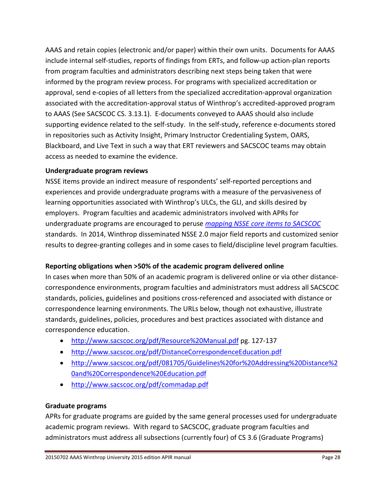AAAS and retain copies (electronic and/or paper) within their own units. Documents for AAAS include internal self-studies, reports of findings from ERTs, and follow-up action-plan reports from program faculties and administrators describing next steps being taken that were informed by the program review process. For programs with specialized accreditation or approval, send e-copies of all letters from the specialized accreditation-approval organization associated with the accreditation-approval status of Winthrop's accredited-approved program to AAAS (See SACSCOC CS. 3.13.1). E-documents conveyed to AAAS should also include supporting evidence related to the self-study. In the self-study, reference e-documents stored in repositories such as Activity Insight, Primary Instructor Credentialing System, OARS, Blackboard, and Live Text in such a way that ERT reviewers and SACSCOC teams may obtain access as needed to examine the evidence.

# **Undergraduate program reviews**

NSSE items provide an indirect measure of respondents' self-reported perceptions and experiences and provide undergraduate programs with a measure of the pervasiveness of learning opportunities associated with Winthrop's ULCs, the GLI, and skills desired by employers. Program faculties and academic administrators involved with APRs for undergraduate programs are encouraged to peruse *[mapping NSSE core items to SACSCOC](http://nsse.iub.edu/institute/documents/accred/2014/NSSE%20SACS%20Toolkit%202014.pdf)* standards. In 2014, Winthrop disseminated NSSE 2.0 major field reports and customized senior results to degree-granting colleges and in some cases to field/discipline level program faculties.

# **Reporting obligations when >50% of the academic program delivered online**

In cases when more than 50% of an academic program is delivered online or via other distancecorrespondence environments, program faculties and administrators must address all SACSCOC standards, policies, guidelines and positions cross-referenced and associated with distance or correspondence learning environments. The URLs below, though not exhaustive, illustrate standards, guidelines, policies, procedures and best practices associated with distance and correspondence education.

- <http://www.sacscoc.org/pdf/Resource%20Manual.pdf> pg. 127-137
- <http://www.sacscoc.org/pdf/DistanceCorrespondenceEducation.pdf>
- [http://www.sacscoc.org/pdf/081705/Guidelines%20for%20Addressing%20Distance%2](http://www.sacscoc.org/pdf/081705/Guidelines%20for%20Addressing%20Distance%20and%20Correspondence%20Education.pdf) [0and%20Correspondence%20Education.pdf](http://www.sacscoc.org/pdf/081705/Guidelines%20for%20Addressing%20Distance%20and%20Correspondence%20Education.pdf)
- <http://www.sacscoc.org/pdf/commadap.pdf>

# **Graduate programs**

APRs for graduate programs are guided by the same general processes used for undergraduate academic program reviews. With regard to SACSCOC, graduate program faculties and administrators must address all subsections (currently four) of CS 3.6 (Graduate Programs)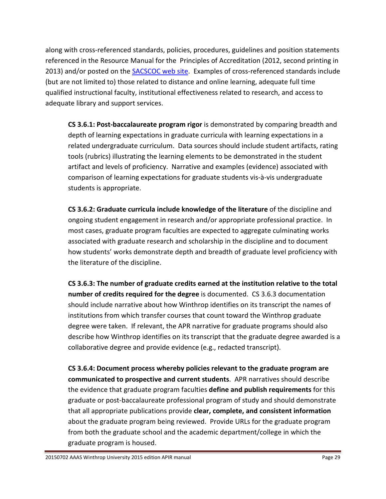along with cross-referenced standards, policies, procedures, guidelines and position statements referenced in the Resource Manual for the Principles of Accreditation (2012, second printing in 2013) and/or posted on the **SACSCOC** web site. Examples of cross-referenced standards include (but are not limited to) those related to distance and online learning, adequate full time qualified instructional faculty, institutional effectiveness related to research, and access to adequate library and support services.

**CS 3.6.1: Post-baccalaureate program rigor** is demonstrated by comparing breadth and depth of learning expectations in graduate curricula with learning expectations in a related undergraduate curriculum. Data sources should include student artifacts, rating tools (rubrics) illustrating the learning elements to be demonstrated in the student artifact and levels of proficiency. Narrative and examples (evidence) associated with comparison of learning expectations for graduate students vis-à-vis undergraduate students is appropriate.

**CS 3.6.2: Graduate curricula include knowledge of the literature** of the discipline and ongoing student engagement in research and/or appropriate professional practice. In most cases, graduate program faculties are expected to aggregate culminating works associated with graduate research and scholarship in the discipline and to document how students' works demonstrate depth and breadth of graduate level proficiency with the literature of the discipline.

**CS 3.6.3: The number of graduate credits earned at the institution relative to the total number of credits required for the degree** is documented. CS 3.6.3 documentation should include narrative about how Winthrop identifies on its transcript the names of institutions from which transfer courses that count toward the Winthrop graduate degree were taken. If relevant, the APR narrative for graduate programs should also describe how Winthrop identifies on its transcript that the graduate degree awarded is a collaborative degree and provide evidence (e.g., redacted transcript).

**CS 3.6.4: Document process whereby policies relevant to the graduate program are communicated to prospective and current students**. APR narratives should describe the evidence that graduate program faculties **define and publish requirements** for this graduate or post-baccalaureate professional program of study and should demonstrate that all appropriate publications provide **clear, complete, and consistent information** about the graduate program being reviewed. Provide URLs for the graduate program from both the graduate school and the academic department/college in which the graduate program is housed.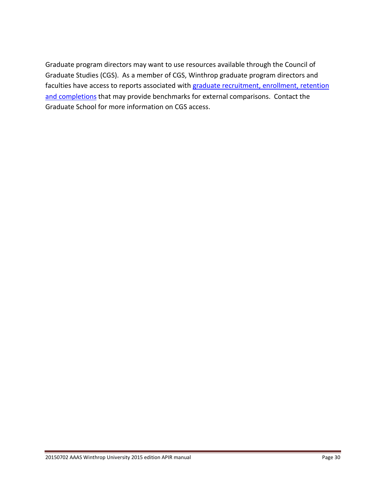Graduate program directors may want to use resources available through the Council of Graduate Studies (CGS). As a member of CGS, Winthrop graduate program directors and faculties have access to reports associated with graduate recruitment, enrollment, retention [and completions](http://www.cgsnet.org/graduate-enrollment-and-degrees) that may provide benchmarks for external comparisons. Contact the Graduate School for more information on CGS access.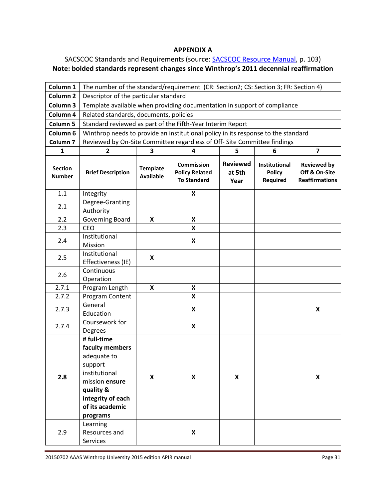#### **APPENDIX A**

# <span id="page-30-0"></span>SACSCOC Standards and Requirements (source[: SACSCOC Resource Manual,](http://www.sacscoc.org/pdf/Resource%20Manual.pdf) p. 103) **Note: bolded standards represent changes since Winthrop's 2011 decennial reaffirmation**

| Column 1                        | The number of the standard/requirement (CR: Section2; CS: Section 3; FR: Section 4)                                                           |                                     |                                                                  |                                   |                                                   |                                                              |  |
|---------------------------------|-----------------------------------------------------------------------------------------------------------------------------------------------|-------------------------------------|------------------------------------------------------------------|-----------------------------------|---------------------------------------------------|--------------------------------------------------------------|--|
| Column <sub>2</sub>             | Descriptor of the particular standard                                                                                                         |                                     |                                                                  |                                   |                                                   |                                                              |  |
| Column <sub>3</sub>             | Template available when providing documentation in support of compliance                                                                      |                                     |                                                                  |                                   |                                                   |                                                              |  |
| Column 4                        | Related standards, documents, policies                                                                                                        |                                     |                                                                  |                                   |                                                   |                                                              |  |
| Column 5                        | Standard reviewed as part of the Fifth-Year Interim Report                                                                                    |                                     |                                                                  |                                   |                                                   |                                                              |  |
| Column <sub>6</sub>             | Winthrop needs to provide an institutional policy in its response to the standard                                                             |                                     |                                                                  |                                   |                                                   |                                                              |  |
| Column <sub>7</sub>             | Reviewed by On-Site Committee regardless of Off- Site Committee findings                                                                      |                                     |                                                                  |                                   |                                                   |                                                              |  |
| 1                               | $\overline{\mathbf{2}}$                                                                                                                       | 5<br>3<br>4<br>6<br>7               |                                                                  |                                   |                                                   |                                                              |  |
| <b>Section</b><br><b>Number</b> | <b>Brief Description</b>                                                                                                                      | <b>Template</b><br><b>Available</b> | <b>Commission</b><br><b>Policy Related</b><br><b>To Standard</b> | <b>Reviewed</b><br>at 5th<br>Year | <b>Institutional</b><br><b>Policy</b><br>Required | <b>Reviewed by</b><br>Off & On-Site<br><b>Reaffirmations</b> |  |
| 1.1                             | Integrity                                                                                                                                     |                                     | X                                                                |                                   |                                                   |                                                              |  |
| 2.1                             | Degree-Granting<br>Authority                                                                                                                  |                                     |                                                                  |                                   |                                                   |                                                              |  |
| 2.2                             | Governing Board                                                                                                                               | $\boldsymbol{\mathsf{x}}$           | X                                                                |                                   |                                                   |                                                              |  |
| 2.3                             | <b>CEO</b>                                                                                                                                    |                                     | X                                                                |                                   |                                                   |                                                              |  |
| 2.4                             | Institutional<br>Mission                                                                                                                      |                                     | $\boldsymbol{\mathsf{x}}$                                        |                                   |                                                   |                                                              |  |
| 2.5                             | Institutional<br>Effectiveness (IE)                                                                                                           | X                                   |                                                                  |                                   |                                                   |                                                              |  |
| 2.6                             | Continuous<br>Operation                                                                                                                       |                                     |                                                                  |                                   |                                                   |                                                              |  |
| 2.7.1                           | Program Length                                                                                                                                | X                                   | X                                                                |                                   |                                                   |                                                              |  |
| 2.7.2                           | Program Content                                                                                                                               |                                     | X                                                                |                                   |                                                   |                                                              |  |
| 2.7.3                           | General<br>Education                                                                                                                          |                                     | X                                                                |                                   |                                                   | X                                                            |  |
| 2.7.4                           | Coursework for<br>Degrees                                                                                                                     |                                     | X                                                                |                                   |                                                   |                                                              |  |
|                                 | # full-time                                                                                                                                   |                                     |                                                                  |                                   |                                                   |                                                              |  |
| 2.8                             | faculty members<br>adequate to<br>support<br>institutional<br>mission ensure<br>quality &<br>integrity of each<br>of its academic<br>programs | $\boldsymbol{\mathsf{x}}$           | $\pmb{\mathsf{X}}$                                               | X                                 |                                                   | X                                                            |  |
| 2.9                             | Learning<br>Resources and<br>Services                                                                                                         |                                     | X                                                                |                                   |                                                   |                                                              |  |

20150702 AAAS Winthrop University 2015 edition APIR manual and all the state of the Page 31 Page 31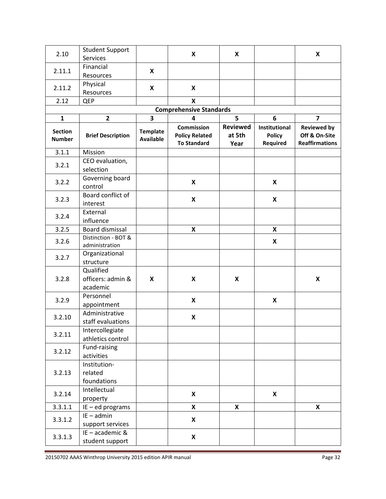| 2.10                            | <b>Student Support</b>           |                                     | X                                                                | X                                 |                                            | $\pmb{\mathsf{X}}$                                           |
|---------------------------------|----------------------------------|-------------------------------------|------------------------------------------------------------------|-----------------------------------|--------------------------------------------|--------------------------------------------------------------|
|                                 | Services                         |                                     |                                                                  |                                   |                                            |                                                              |
|                                 | Financial                        | X                                   |                                                                  |                                   |                                            |                                                              |
| 2.11.1                          | Resources                        |                                     |                                                                  |                                   |                                            |                                                              |
| 2.11.2                          | Physical                         | X                                   | $\boldsymbol{\mathsf{x}}$                                        |                                   |                                            |                                                              |
|                                 | Resources                        |                                     |                                                                  |                                   |                                            |                                                              |
| 2.12                            | QEP                              |                                     | X                                                                |                                   |                                            |                                                              |
|                                 |                                  |                                     | <b>Comprehensive Standards</b>                                   |                                   |                                            |                                                              |
| $\mathbf 1$                     | $\mathbf{2}$                     | $\overline{\mathbf{3}}$             | 4                                                                | 5                                 | 6                                          | $\overline{\mathbf{z}}$                                      |
| <b>Section</b><br><b>Number</b> | <b>Brief Description</b>         | <b>Template</b><br><b>Available</b> | <b>Commission</b><br><b>Policy Related</b><br><b>To Standard</b> | <b>Reviewed</b><br>at 5th<br>Year | Institutional<br><b>Policy</b><br>Required | <b>Reviewed by</b><br>Off & On-Site<br><b>Reaffirmations</b> |
| 3.1.1                           | Mission                          |                                     |                                                                  |                                   |                                            |                                                              |
| 3.2.1                           | CEO evaluation,                  |                                     |                                                                  |                                   |                                            |                                                              |
|                                 | selection                        |                                     |                                                                  |                                   |                                            |                                                              |
| 3.2.2                           | Governing board<br>control       |                                     | $\pmb{\mathsf{X}}$                                               |                                   | X                                          |                                                              |
| 3.2.3                           | Board conflict of<br>interest    |                                     | X                                                                |                                   | X                                          |                                                              |
| 3.2.4                           | External                         |                                     |                                                                  |                                   |                                            |                                                              |
|                                 | influence                        |                                     |                                                                  |                                   |                                            |                                                              |
| 3.2.5                           | Board dismissal                  |                                     | $\pmb{\mathsf{X}}$                                               |                                   | X                                          |                                                              |
| 3.2.6                           | Distinction - BOT &              |                                     |                                                                  |                                   | X                                          |                                                              |
|                                 | administration<br>Organizational |                                     |                                                                  |                                   |                                            |                                                              |
| 3.2.7                           | structure                        |                                     |                                                                  |                                   |                                            |                                                              |
|                                 | Qualified                        |                                     |                                                                  |                                   |                                            |                                                              |
| 3.2.8                           | officers: admin &                | X                                   | X                                                                | X                                 |                                            | X                                                            |
|                                 | academic                         |                                     |                                                                  |                                   |                                            |                                                              |
|                                 | Personnel                        |                                     |                                                                  |                                   |                                            |                                                              |
| 3.2.9                           | appointment                      |                                     | X                                                                |                                   | X                                          |                                                              |
|                                 | Administrative                   |                                     |                                                                  |                                   |                                            |                                                              |
| 3.2.10                          | staff evaluations                |                                     | X                                                                |                                   |                                            |                                                              |
|                                 | Intercollegiate                  |                                     |                                                                  |                                   |                                            |                                                              |
| 3.2.11                          | athletics control                |                                     |                                                                  |                                   |                                            |                                                              |
| 3.2.12                          | Fund-raising                     |                                     |                                                                  |                                   |                                            |                                                              |
|                                 | activities                       |                                     |                                                                  |                                   |                                            |                                                              |
|                                 | Institution-                     |                                     |                                                                  |                                   |                                            |                                                              |
| 3.2.13                          | related                          |                                     |                                                                  |                                   |                                            |                                                              |
|                                 | foundations                      |                                     |                                                                  |                                   |                                            |                                                              |
| 3.2.14                          | Intellectual                     |                                     | X                                                                |                                   | X                                          |                                                              |
|                                 | property                         |                                     |                                                                  |                                   |                                            |                                                              |
| 3.3.1.1                         | $IE - ed$ programs               |                                     | $\pmb{\mathsf{X}}$                                               | X                                 |                                            | X                                                            |
| 3.3.1.2                         | $IE - admin$                     |                                     | X                                                                |                                   |                                            |                                                              |
|                                 | support services                 |                                     |                                                                  |                                   |                                            |                                                              |
| 3.3.1.3                         | IE - academic &                  |                                     | $\boldsymbol{\mathsf{x}}$                                        |                                   |                                            |                                                              |
|                                 | student support                  |                                     |                                                                  |                                   |                                            |                                                              |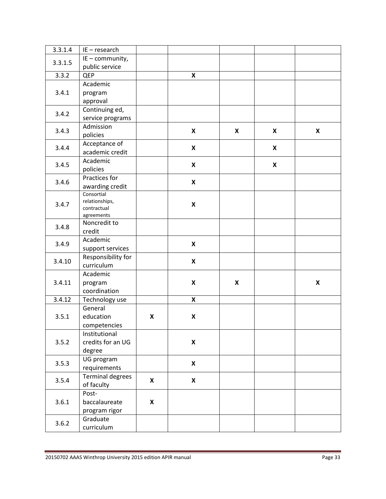| 3.3.1.4 | IE-research               |                           |                           |                    |                           |   |
|---------|---------------------------|---------------------------|---------------------------|--------------------|---------------------------|---|
| 3.3.1.5 | IE - community,           |                           |                           |                    |                           |   |
|         | public service            |                           |                           |                    |                           |   |
| 3.3.2   | <b>QEP</b>                |                           | $\pmb{\mathsf{X}}$        |                    |                           |   |
|         | Academic                  |                           |                           |                    |                           |   |
| 3.4.1   | program                   |                           |                           |                    |                           |   |
|         | approval                  |                           |                           |                    |                           |   |
| 3.4.2   | Continuing ed,            |                           |                           |                    |                           |   |
|         | service programs          |                           |                           |                    |                           |   |
|         | Admission                 |                           | X                         | X                  |                           | X |
| 3.4.3   | policies                  |                           |                           |                    | X                         |   |
| 3.4.4   | Acceptance of             |                           | $\boldsymbol{\mathsf{x}}$ |                    | X                         |   |
|         | academic credit           |                           |                           |                    |                           |   |
| 3.4.5   | Academic                  |                           | X                         |                    | $\boldsymbol{\mathsf{X}}$ |   |
|         | policies                  |                           |                           |                    |                           |   |
| 3.4.6   | Practices for             |                           | $\boldsymbol{\mathsf{x}}$ |                    |                           |   |
|         | awarding credit           |                           |                           |                    |                           |   |
|         | Consortial                |                           |                           |                    |                           |   |
| 3.4.7   | relationships,            |                           | $\pmb{\mathsf{X}}$        |                    |                           |   |
|         | contractual<br>agreements |                           |                           |                    |                           |   |
|         | Noncredit to              |                           |                           |                    |                           |   |
| 3.4.8   | credit                    |                           |                           |                    |                           |   |
|         | Academic                  |                           |                           |                    |                           |   |
| 3.4.9   | support services          |                           | $\boldsymbol{\mathsf{x}}$ |                    |                           |   |
|         | Responsibility for        |                           |                           |                    |                           |   |
| 3.4.10  | curriculum                |                           | $\boldsymbol{x}$          |                    |                           |   |
|         | Academic                  |                           |                           |                    |                           |   |
| 3.4.11  | program                   |                           | $\pmb{\mathsf{X}}$        | $\pmb{\mathsf{X}}$ |                           | X |
|         | coordination              |                           |                           |                    |                           |   |
| 3.4.12  | Technology use            |                           | X                         |                    |                           |   |
|         | General                   |                           |                           |                    |                           |   |
| 3.5.1   | education                 | X                         | X                         |                    |                           |   |
|         | competencies              |                           |                           |                    |                           |   |
|         | Institutional             |                           |                           |                    |                           |   |
| 3.5.2   | credits for an UG         |                           | $\pmb{\mathsf{X}}$        |                    |                           |   |
|         | degree                    |                           |                           |                    |                           |   |
| 3.5.3   | UG program                |                           | $\pmb{\mathsf{X}}$        |                    |                           |   |
|         | requirements              |                           |                           |                    |                           |   |
| 3.5.4   | <b>Terminal degrees</b>   | $\boldsymbol{\mathsf{x}}$ | $\pmb{\mathsf{X}}$        |                    |                           |   |
|         | of faculty                |                           |                           |                    |                           |   |
| 3.6.1   | Post-                     |                           |                           |                    |                           |   |
|         | baccalaureate             | X                         |                           |                    |                           |   |
|         | program rigor             |                           |                           |                    |                           |   |
| 3.6.2   | Graduate                  |                           |                           |                    |                           |   |
|         | curriculum                |                           |                           |                    |                           |   |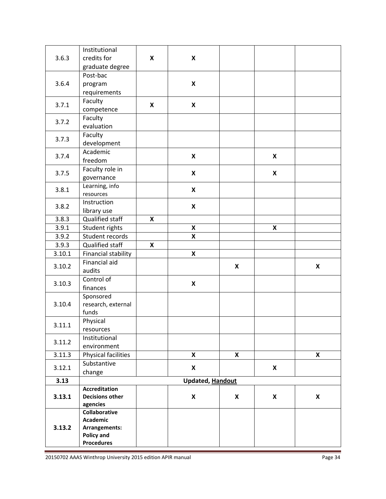|        | Institutional               |   |                           |              |                           |              |
|--------|-----------------------------|---|---------------------------|--------------|---------------------------|--------------|
| 3.6.3  | credits for                 | X | X                         |              |                           |              |
|        | graduate degree             |   |                           |              |                           |              |
|        | Post-bac                    |   |                           |              |                           |              |
| 3.6.4  | program                     |   | $\pmb{\mathsf{X}}$        |              |                           |              |
|        | requirements                |   |                           |              |                           |              |
| 3.7.1  | Faculty                     | X | $\boldsymbol{\mathsf{x}}$ |              |                           |              |
|        | competence                  |   |                           |              |                           |              |
| 3.7.2  | Faculty                     |   |                           |              |                           |              |
|        | evaluation                  |   |                           |              |                           |              |
| 3.7.3  | Faculty                     |   |                           |              |                           |              |
|        | development                 |   |                           |              |                           |              |
| 3.7.4  | Academic                    |   | X                         |              | X                         |              |
|        | freedom                     |   |                           |              |                           |              |
| 3.7.5  | Faculty role in             |   | $\boldsymbol{\mathsf{x}}$ |              | $\boldsymbol{\mathsf{x}}$ |              |
|        | governance                  |   |                           |              |                           |              |
| 3.8.1  | Learning, info<br>resources |   | $\boldsymbol{\mathsf{X}}$ |              |                           |              |
|        | Instruction                 |   |                           |              |                           |              |
| 3.8.2  | library use                 |   | X                         |              |                           |              |
| 3.8.3  | Qualified staff             | X |                           |              |                           |              |
| 3.9.1  | Student rights              |   | X                         |              | X                         |              |
| 3.9.2  | Student records             |   | X                         |              |                           |              |
| 3.9.3  | Qualified staff             | X |                           |              |                           |              |
| 3.10.1 | Financial stability         |   | $\boldsymbol{\mathsf{x}}$ |              |                           |              |
|        | Financial aid               |   |                           |              |                           |              |
| 3.10.2 | audits                      |   |                           | X            |                           | X            |
| 3.10.3 | Control of                  |   | $\pmb{\mathsf{X}}$        |              |                           |              |
|        | finances                    |   |                           |              |                           |              |
|        | Sponsored                   |   |                           |              |                           |              |
| 3.10.4 | research, external          |   |                           |              |                           |              |
|        | funds                       |   |                           |              |                           |              |
| 3.11.1 | Physical                    |   |                           |              |                           |              |
|        | resources                   |   |                           |              |                           |              |
| 3.11.2 | Institutional               |   |                           |              |                           |              |
|        | environment                 |   |                           |              |                           |              |
| 3.11.3 | Physical facilities         |   | X                         | $\mathsf{x}$ |                           | $\mathsf{X}$ |
| 3.12.1 | Substantive                 |   | X                         |              | X                         |              |
| 3.13   | change                      |   |                           |              |                           |              |
|        | <b>Accreditation</b>        |   | <b>Updated, Handout</b>   |              |                           |              |
| 3.13.1 | <b>Decisions other</b>      |   | $\boldsymbol{\mathsf{X}}$ | X            | X                         | X            |
|        | agencies                    |   |                           |              |                           |              |
|        | Collaborative               |   |                           |              |                           |              |
| 3.13.2 | <b>Academic</b>             |   |                           |              |                           |              |
|        | Arrangements:               |   |                           |              |                           |              |
|        | Policy and                  |   |                           |              |                           |              |
|        | <b>Procedures</b>           |   |                           |              |                           |              |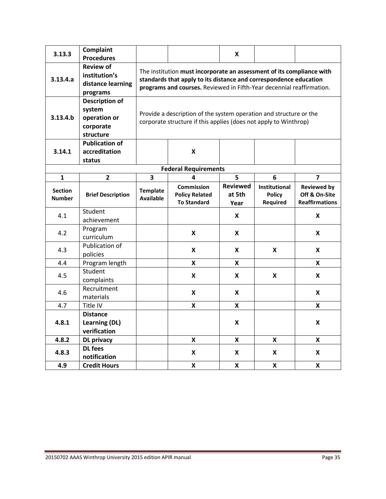<span id="page-34-0"></span>

| 3.13.3                          | Complaint                |                                                                       |                                                                                                                                            | X                                 |                                            |                                                              |  |  |  |
|---------------------------------|--------------------------|-----------------------------------------------------------------------|--------------------------------------------------------------------------------------------------------------------------------------------|-----------------------------------|--------------------------------------------|--------------------------------------------------------------|--|--|--|
|                                 | <b>Procedures</b>        |                                                                       |                                                                                                                                            |                                   |                                            |                                                              |  |  |  |
|                                 | <b>Review of</b>         |                                                                       |                                                                                                                                            |                                   |                                            |                                                              |  |  |  |
| 3.13.4.a                        | institution's            |                                                                       | The institution must incorporate an assessment of its compliance with<br>standards that apply to its distance and correspondence education |                                   |                                            |                                                              |  |  |  |
|                                 | distance learning        | programs and courses. Reviewed in Fifth-Year decennial reaffirmation. |                                                                                                                                            |                                   |                                            |                                                              |  |  |  |
|                                 | programs                 |                                                                       |                                                                                                                                            |                                   |                                            |                                                              |  |  |  |
|                                 | <b>Description of</b>    |                                                                       |                                                                                                                                            |                                   |                                            |                                                              |  |  |  |
|                                 | system                   |                                                                       |                                                                                                                                            |                                   |                                            |                                                              |  |  |  |
| 3.13.4.b                        | operation or             |                                                                       | Provide a description of the system operation and structure or the<br>corporate structure if this applies (does not apply to Winthrop)     |                                   |                                            |                                                              |  |  |  |
|                                 | corporate                |                                                                       |                                                                                                                                            |                                   |                                            |                                                              |  |  |  |
|                                 | structure                |                                                                       |                                                                                                                                            |                                   |                                            |                                                              |  |  |  |
|                                 | <b>Publication of</b>    |                                                                       |                                                                                                                                            |                                   |                                            |                                                              |  |  |  |
| 3.14.1                          | accreditation            |                                                                       | $\boldsymbol{x}$                                                                                                                           |                                   |                                            |                                                              |  |  |  |
|                                 | status                   |                                                                       |                                                                                                                                            |                                   |                                            |                                                              |  |  |  |
|                                 |                          |                                                                       | <b>Federal Requirements</b>                                                                                                                |                                   |                                            |                                                              |  |  |  |
| 1                               | $\overline{2}$           | 3                                                                     | 4                                                                                                                                          | 5                                 | 6                                          | $\overline{7}$                                               |  |  |  |
| <b>Section</b><br><b>Number</b> | <b>Brief Description</b> | <b>Template</b><br><b>Available</b>                                   | <b>Commission</b><br><b>Policy Related</b><br><b>To Standard</b>                                                                           | <b>Reviewed</b><br>at 5th<br>Year | Institutional<br><b>Policy</b><br>Required | <b>Reviewed by</b><br>Off & On-Site<br><b>Reaffirmations</b> |  |  |  |
| 4.1                             | Student                  |                                                                       |                                                                                                                                            | X                                 |                                            | X                                                            |  |  |  |
|                                 | achievement              |                                                                       |                                                                                                                                            |                                   |                                            |                                                              |  |  |  |
| 4.2                             | Program                  |                                                                       | X                                                                                                                                          | X                                 |                                            | X                                                            |  |  |  |
|                                 | curriculum               |                                                                       |                                                                                                                                            |                                   |                                            |                                                              |  |  |  |
| 4.3                             | Publication of           |                                                                       | $\boldsymbol{x}$                                                                                                                           | X                                 | X                                          | X                                                            |  |  |  |
|                                 | policies                 |                                                                       |                                                                                                                                            |                                   |                                            |                                                              |  |  |  |
| 4.4                             | Program length           |                                                                       | $\boldsymbol{\mathsf{x}}$                                                                                                                  | X                                 |                                            | X                                                            |  |  |  |
| 4.5                             | Student                  |                                                                       | X                                                                                                                                          | X                                 | X                                          | X                                                            |  |  |  |
|                                 | complaints               |                                                                       |                                                                                                                                            |                                   |                                            |                                                              |  |  |  |
| 4.6                             | Recruitment              |                                                                       | X<br>X                                                                                                                                     |                                   |                                            | X                                                            |  |  |  |
|                                 | materials                |                                                                       |                                                                                                                                            |                                   |                                            |                                                              |  |  |  |
| 4.7                             | Title IV                 |                                                                       | X                                                                                                                                          | X                                 |                                            | X                                                            |  |  |  |
|                                 | <b>Distance</b>          |                                                                       |                                                                                                                                            |                                   |                                            |                                                              |  |  |  |
| 4.8.1                           | Learning (DL)            |                                                                       |                                                                                                                                            | X                                 |                                            | X                                                            |  |  |  |
|                                 | verification             |                                                                       |                                                                                                                                            |                                   |                                            |                                                              |  |  |  |
| 4.8.2                           | <b>DL</b> privacy        |                                                                       | X                                                                                                                                          | X                                 | X                                          | X                                                            |  |  |  |
| 4.8.3                           | <b>DL</b> fees           |                                                                       | X                                                                                                                                          | X                                 | X                                          | X                                                            |  |  |  |
|                                 | notification             |                                                                       |                                                                                                                                            |                                   |                                            |                                                              |  |  |  |
| 4.9                             | <b>Credit Hours</b>      |                                                                       | X                                                                                                                                          | X                                 | X                                          | X                                                            |  |  |  |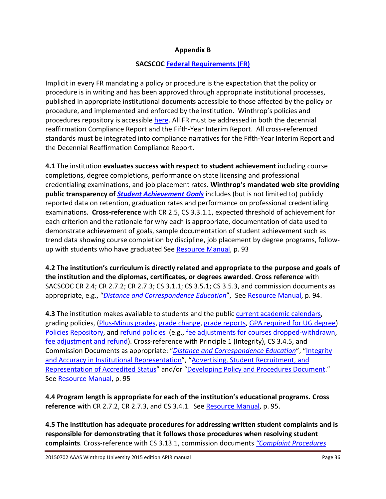# **Appendix B**

# **SACSCOC [Federal Requirements \(FR\)](http://www.sacscoc.org/pdf/Resource%20Manual.pdf)**

Implicit in every FR mandating a policy or procedure is the expectation that the policy or procedure is in writing and has been approved through appropriate institutional processes, published in appropriate institutional documents accessible to those affected by the policy or procedure, and implemented and enforced by the institution. Winthrop's policies and procedures repository is accessible [here.](http://www.winthrop.edu/academic-affairs/default.aspx?id=9449) All FR must be addressed in both the decennial reaffirmation Compliance Report and the Fifth-Year Interim Report. All cross-referenced standards must be integrated into compliance narratives for the Fifth-Year Interim Report and the Decennial Reaffirmation Compliance Report.

**4.1** The institution **evaluates success with respect to student achievement** including course completions, degree completions, performance on state licensing and professional credentialing examinations, and job placement rates. **Winthrop's mandated web site providing public transparency of** *[Student Achievement Goals](http://www.winthrop.edu/accountability/default.aspx?id=39591)* includes (but is not limited to) publicly reported data on retention, graduation rates and performance on professional credentialing examinations. **Cross-reference** with CR 2.5, CS 3.3.1.1, expected threshold of achievement for each criterion and the rationale for why each is appropriate, documentation of data used to demonstrate achievement of goals, sample documentation of student achievement such as trend data showing course completion by discipline, job placement by degree programs, follow-up with students who have graduated See [Resource Manual,](http://www.sacscoc.org/pdf/Resource%20Manual.pdf) p. 93

**4.2 The institution's curriculum is directly related and appropriate to the purpose and goals of the institution and the diplomas, certificates, or degrees awarded**. **Cross reference** with SACSCOC CR 2.4; CR 2.7.2; CR 2.7.3; CS 3.1.1; CS 3.5.1; CS 3.5.3, and commission documents as appropriate, e.g., "*[Distance and Correspondence Education](http://www.sacscoc.org/pdf/DistanceCorrespondenceEducation.pdf)*", See [Resource Manual,](http://www.sacscoc.org/pdf/Resource%20Manual.pdf) p. 94.

**4.3** The institution makes available to students and the public [current academic calendars,](https://www.winthrop.edu/uploadedFiles/acadschedule/5yrcalendar.pdf) grading policies, [\(Plus-Minus](http://www.winthrop.edu/recandreg/default.aspx?id=7568) grades, [grade change,](http://www2.winthrop.edu/public/policy/fullpolicy.aspx?pid=97) [grade reports,](http://www2.winthrop.edu/public/policy/fullpolicy.aspx?pid=96) [GPA required for UG degree\)](http://www2.winthrop.edu/public/policy/fullpolicy.aspx?pid=125) [Policies Repository,](http://www.winthrop.edu/policyrepository/) and [refund policies](https://www.winthrop.edu/uploadedFiles/controllersoffice/StudentAccountsInformationSheet.pdf) (e.g., [fee adjustments for courses dropped-withdrawn,](https://www.winthrop.edu/uploadedFiles/cashiers/FeeAdjustmentsCourseDroppedWithdrawal.pdf) [fee adjustment and refund\)](https://www.winthrop.edu/uploadedFiles/controllersoffice/StudentAccountsInformationSheet.pdf). Cross-reference with Principle 1 (Integrity), CS 3.4.5, and Commission Documents as appropriate: "*[Distance and Correspondence Education](http://www.sacscoc.org/pdf/DistanceCorrespondenceEducation.pdf)*", ["Integrity](http://www.sacscoc.org/pdf/081705/integrity.pdf)  [and Accuracy in Institutional Representation"](http://www.sacscoc.org/pdf/081705/integrity.pdf), ["Advertising, Student Recruitment, and](http://www.sacscoc.org/pdf/081705/advertising.pdf)  [Representation of Accredited Status"](http://www.sacscoc.org/pdf/081705/advertising.pdf) and/or ["Developing Policy and Procedures Document.](http://www.sacscoc.org/pdf/best%20practices%20for%20policy%20development%20final.pdf)" See [Resource Manual,](http://www.sacscoc.org/pdf/Resource%20Manual.pdf) p. 95

**4.4 Program length is appropriate for each of the institution's educational programs. Cross reference** with CR 2.7.2, CR 2.7.3, and CS 3.4.1. See [Resource Manual,](http://www.sacscoc.org/pdf/Resource%20Manual.pdf) p. 95.

**4.5 The institution has adequate procedures for addressing written student complaints and is responsible for demonstrating that it follows those procedures when resolving student complaints**. Cross-reference with CS 3.13.1, commission documents *["Complaint Procedures](http://www.sacscoc.org/pdf/081705/complaintpolicy.pdf)* 

20150702 AAAS Winthrop University 2015 edition APIR manual Page 36